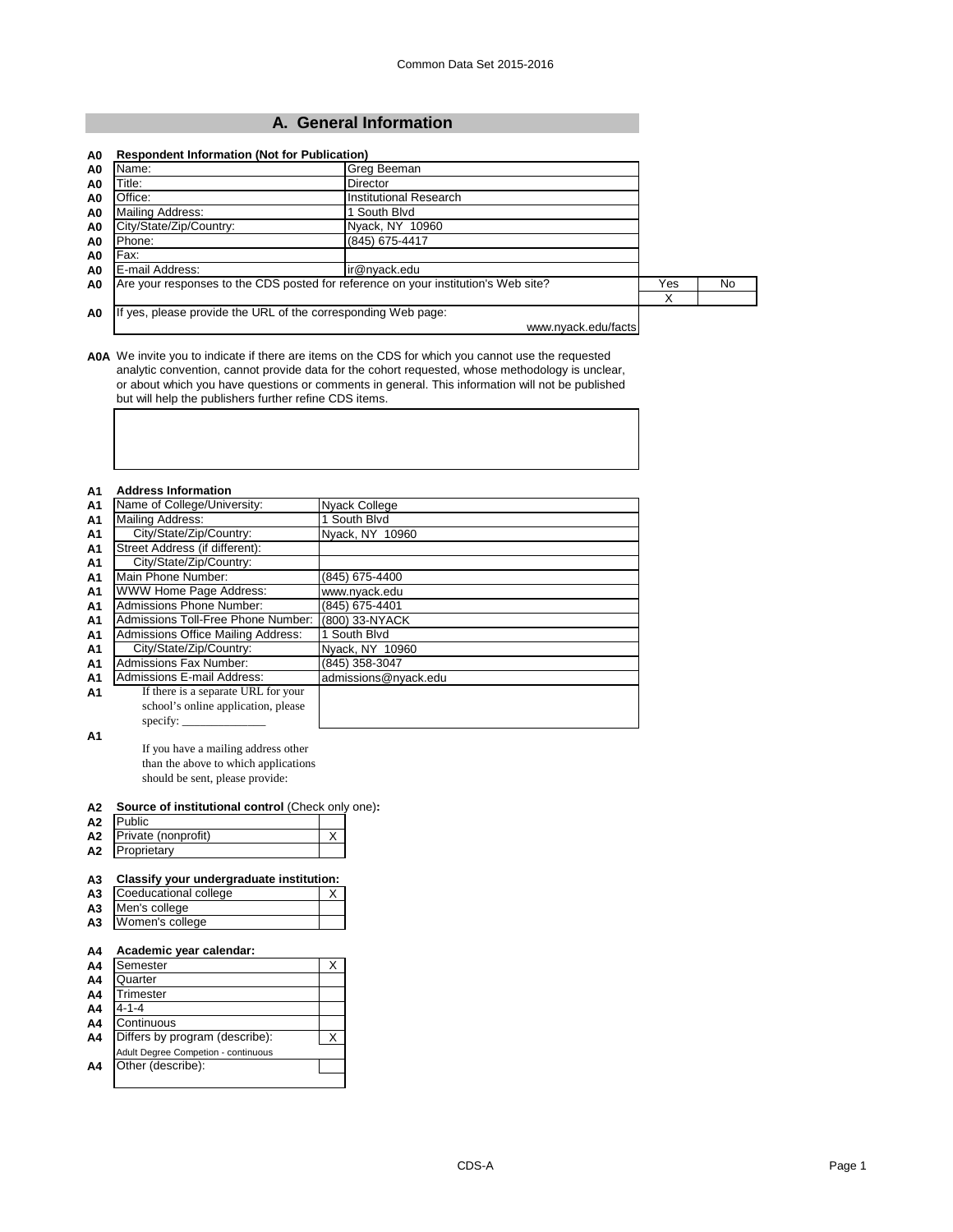# **A. General Information**

| Name:                   | Greg Beeman                                                                        |     |     |
|-------------------------|------------------------------------------------------------------------------------|-----|-----|
| Title:                  | Director                                                                           |     |     |
| Office:                 | Institutional Research                                                             |     |     |
| <b>Mailing Address:</b> | 1 South Blvd                                                                       |     |     |
| City/State/Zip/Country: | Nyack, NY 10960                                                                    |     |     |
| Phone:                  | (845) 675-4417                                                                     |     |     |
| Fax:                    |                                                                                    |     |     |
| E-mail Address:         | ir@nyack.edu                                                                       |     |     |
|                         | Are your responses to the CDS posted for reference on your institution's Web site? | Yes | No. |
|                         |                                                                                    | Χ   |     |

**A0A** We invite you to indicate if there are items on the CDS for which you cannot use the requested analytic convention, cannot provide data for the cohort requested, whose methodology is unclear, or about which you have questions or comments in general. This information will not be published but will help the publishers further refine CDS items.

| A1             | <b>Address Information</b>          |                      |  |  |
|----------------|-------------------------------------|----------------------|--|--|
| A1             | Name of College/University:         | Nyack College        |  |  |
| A <sub>1</sub> | Mailing Address:                    | 1 South Blvd         |  |  |
| A1             | City/State/Zip/Country:             | Nyack, NY 10960      |  |  |
| A <sub>1</sub> | Street Address (if different):      |                      |  |  |
| A <sub>1</sub> | City/State/Zip/Country:             |                      |  |  |
| A <sub>1</sub> | Main Phone Number:                  | (845) 675-4400       |  |  |
| A <sub>1</sub> | WWW Home Page Address:              | www.nyack.edu        |  |  |
| A <sub>1</sub> | Admissions Phone Number:            | (845) 675-4401       |  |  |
| A <sub>1</sub> | Admissions Toll-Free Phone Number:  | (800) 33-NYACK       |  |  |
| A <sub>1</sub> | Admissions Office Mailing Address:  | 1 South Blvd         |  |  |
| A <sub>1</sub> | City/State/Zip/Country:             | Nyack, NY 10960      |  |  |
| A <sub>1</sub> | <b>Admissions Fax Number:</b>       | (845) 358-3047       |  |  |
| A1             | Admissions E-mail Address:          | admissions@nyack.edu |  |  |
| A1             | If there is a separate URL for your |                      |  |  |
|                | school's online application, please |                      |  |  |
|                | specify:                            |                      |  |  |

**A1**

If you have a mailing address other than the above to which applications should be sent, please provide:

#### **A2 Source of institutional control** (Check only one)**:**

| A <sub>2</sub> | Public              |  |
|----------------|---------------------|--|
| A <sub>2</sub> | Private (nonprofit) |  |
| A2             | Proprietary         |  |

# **A3 Classify your undergraduate institution:**

| A3 Coeducational college |  |
|--------------------------|--|
| A3 Men's college         |  |
| A3 Women's college       |  |

## **A4 Academic year calendar:**

| A4             | Semester                            |  |
|----------------|-------------------------------------|--|
| A4             | Quarter                             |  |
| A4             | Trimester                           |  |
| A4             | 4-1-4                               |  |
| A <sub>4</sub> | Continuous                          |  |
| A4             | Differs by program (describe):      |  |
|                | Adult Degree Competion - continuous |  |
| A4             | Other (describe):                   |  |
|                |                                     |  |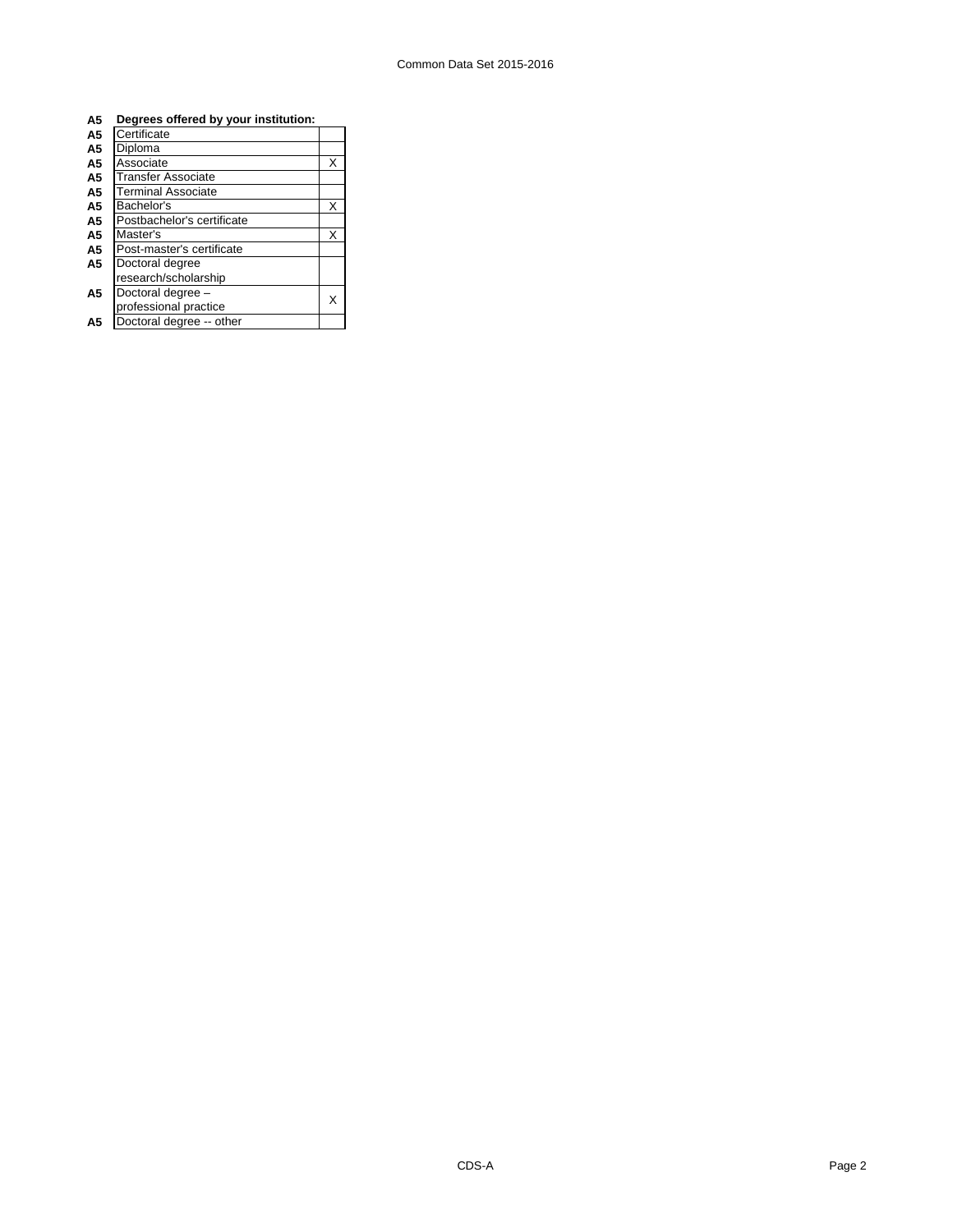| A <sub>5</sub> | Degrees offered by your institution: |   |
|----------------|--------------------------------------|---|
| A5             | Certificate                          |   |
| A5             | Diploma                              |   |
| A5             | Associate                            | X |
| A5             | <b>Transfer Associate</b>            |   |
| A5             | <b>Terminal Associate</b>            |   |
| A <sub>5</sub> | Bachelor's                           | X |
| A <sub>5</sub> | Postbachelor's certificate           |   |
| A <sub>5</sub> | Master's                             | X |
| A <sub>5</sub> | Post-master's certificate            |   |
| A <sub>5</sub> | Doctoral degree                      |   |
|                | research/scholarship                 |   |
| A5             | Doctoral degree -                    |   |
|                | professional practice                | x |
| A5             | Doctoral degree -- other             |   |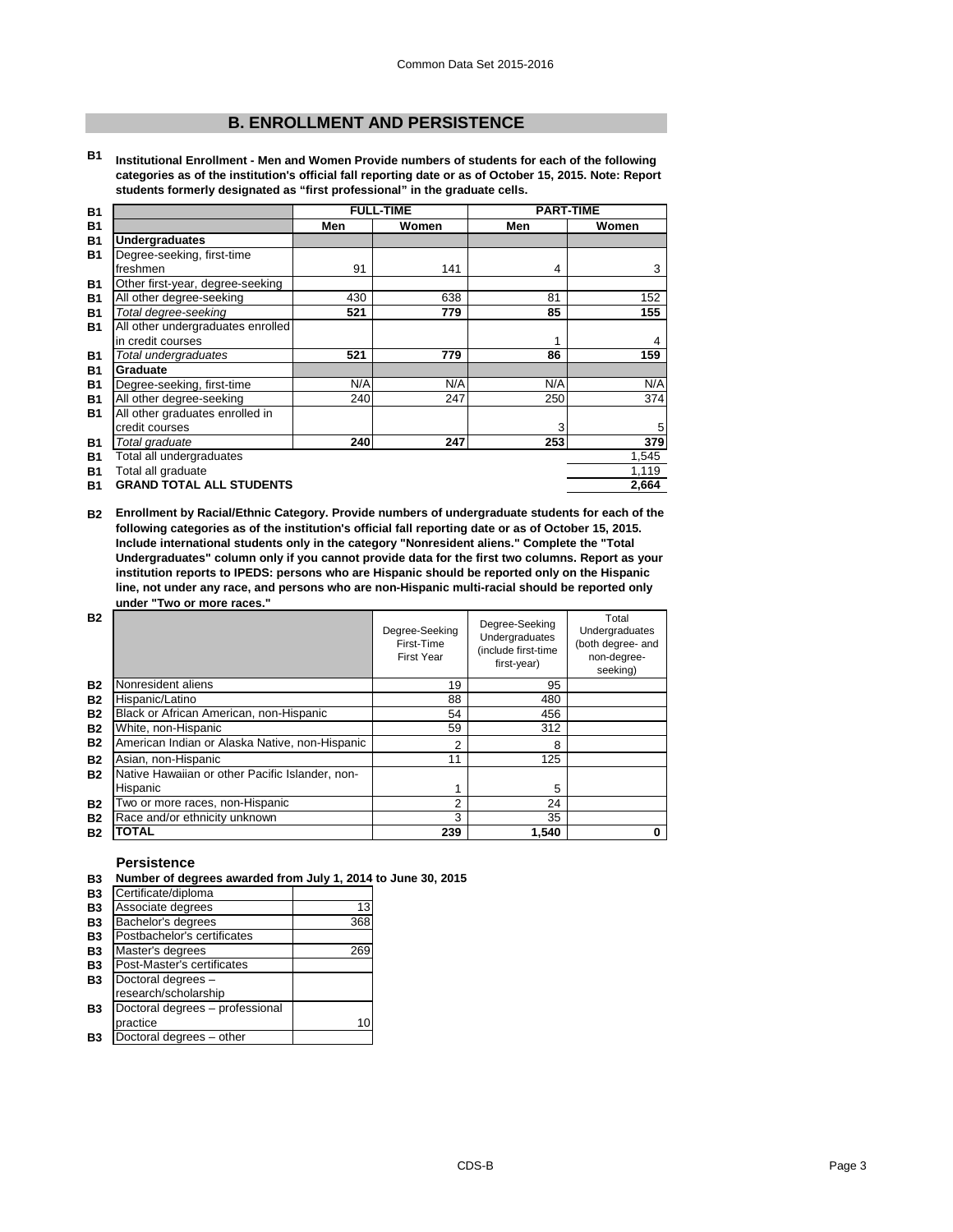# **B. ENROLLMENT AND PERSISTENCE**

**B1 Institutional Enrollment - Men and Women Provide numbers of students for each of the following categories as of the institution's official fall reporting date or as of October 15, 2015. Note: Report students formerly designated as "first professional" in the graduate cells.**

| <b>B1</b> |                                   |     | <b>FULL-TIME</b> | <b>PART-TIME</b> |       |
|-----------|-----------------------------------|-----|------------------|------------------|-------|
| <b>B1</b> |                                   | Men | Women            | Men              | Women |
| <b>B1</b> | <b>Undergraduates</b>             |     |                  |                  |       |
| <b>B1</b> | Degree-seeking, first-time        |     |                  |                  |       |
|           | freshmen                          | 91  | 141              | 4                | 3     |
| <b>B1</b> | Other first-year, degree-seeking  |     |                  |                  |       |
| <b>B1</b> | All other degree-seeking          | 430 | 638              | 81               | 152   |
| <b>B1</b> | Total degree-seeking              | 521 | 779              | 85               | 155   |
| <b>B1</b> | All other undergraduates enrolled |     |                  |                  |       |
|           | in credit courses                 |     |                  | 1                | 4     |
| <b>B1</b> | Total undergraduates              | 521 | 779              | 86               | 159   |
| <b>B1</b> | Graduate                          |     |                  |                  |       |
| <b>B1</b> | Degree-seeking, first-time        | N/A | N/A              | N/A              | N/A   |
| <b>B1</b> | All other degree-seeking          | 240 | 247              | 250              | 374   |
| <b>B1</b> | All other graduates enrolled in   |     |                  |                  |       |
|           | credit courses                    |     |                  | 3                | 5     |
| <b>B1</b> | Total graduate                    | 240 | 247              | 253              | 379   |
| <b>B1</b> | Total all undergraduates          |     |                  |                  | 1,545 |
| <b>B1</b> | Total all graduate                |     |                  |                  | 1,119 |
| <b>B1</b> | <b>GRAND TOTAL ALL STUDENTS</b>   |     |                  |                  | 2,664 |

**B2 Enrollment by Racial/Ethnic Category. Provide numbers of undergraduate students for each of the following categories as of the institution's official fall reporting date or as of October 15, 2015. Include international students only in the category "Nonresident aliens." Complete the "Total Undergraduates" column only if you cannot provide data for the first two columns. Report as your institution reports to IPEDS: persons who are Hispanic should be reported only on the Hispanic line, not under any race, and persons who are non-Hispanic multi-racial should be reported only under "Two or more races."** 

| <b>B2</b> |                                                 | Degree-Seeking<br>First-Time<br><b>First Year</b> | Degree-Seeking<br>Undergraduates<br>(include first-time<br>first-year) | Total<br>Undergraduates<br>(both degree- and<br>non-degree-<br>seeking) |
|-----------|-------------------------------------------------|---------------------------------------------------|------------------------------------------------------------------------|-------------------------------------------------------------------------|
| <b>B2</b> | Nonresident aliens                              | 19                                                | 95                                                                     |                                                                         |
| <b>B2</b> | Hispanic/Latino                                 | 88                                                | 480                                                                    |                                                                         |
| <b>B2</b> | Black or African American, non-Hispanic         | 54                                                | 456                                                                    |                                                                         |
| <b>B2</b> | White, non-Hispanic                             | 59                                                | 312                                                                    |                                                                         |
| <b>B2</b> | American Indian or Alaska Native, non-Hispanic  | 2                                                 | 8                                                                      |                                                                         |
| <b>B2</b> | Asian, non-Hispanic                             | 11                                                | 125                                                                    |                                                                         |
| <b>B2</b> | Native Hawaiian or other Pacific Islander, non- |                                                   |                                                                        |                                                                         |
|           | Hispanic                                        |                                                   | 5                                                                      |                                                                         |
| <b>B2</b> | Two or more races, non-Hispanic                 | 2                                                 | 24                                                                     |                                                                         |
| <b>B2</b> | Race and/or ethnicity unknown                   | 3                                                 | 35                                                                     |                                                                         |
| <b>B2</b> | <b>TOTAL</b>                                    | 239                                               | 1,540                                                                  |                                                                         |

## **Persistence**

## **B3 Number of degrees awarded from July 1, 2014 to June 30, 2015**

| ◡              |                                 |     |
|----------------|---------------------------------|-----|
| <b>B3</b>      | Certificate/diploma             |     |
| <b>B3</b>      | Associate degrees               | 13  |
| <b>B3</b>      | Bachelor's degrees              | 368 |
| <b>B3</b>      | Postbachelor's certificates     |     |
| <b>B3</b>      | Master's degrees                | 269 |
| <b>B3</b>      | Post-Master's certificates      |     |
| <b>B3</b>      | Doctoral degrees -              |     |
|                | research/scholarship            |     |
| B <sub>3</sub> | Doctoral degrees - professional |     |
|                | practice                        | 10  |
| B3             | Doctoral degrees - other        |     |
|                |                                 |     |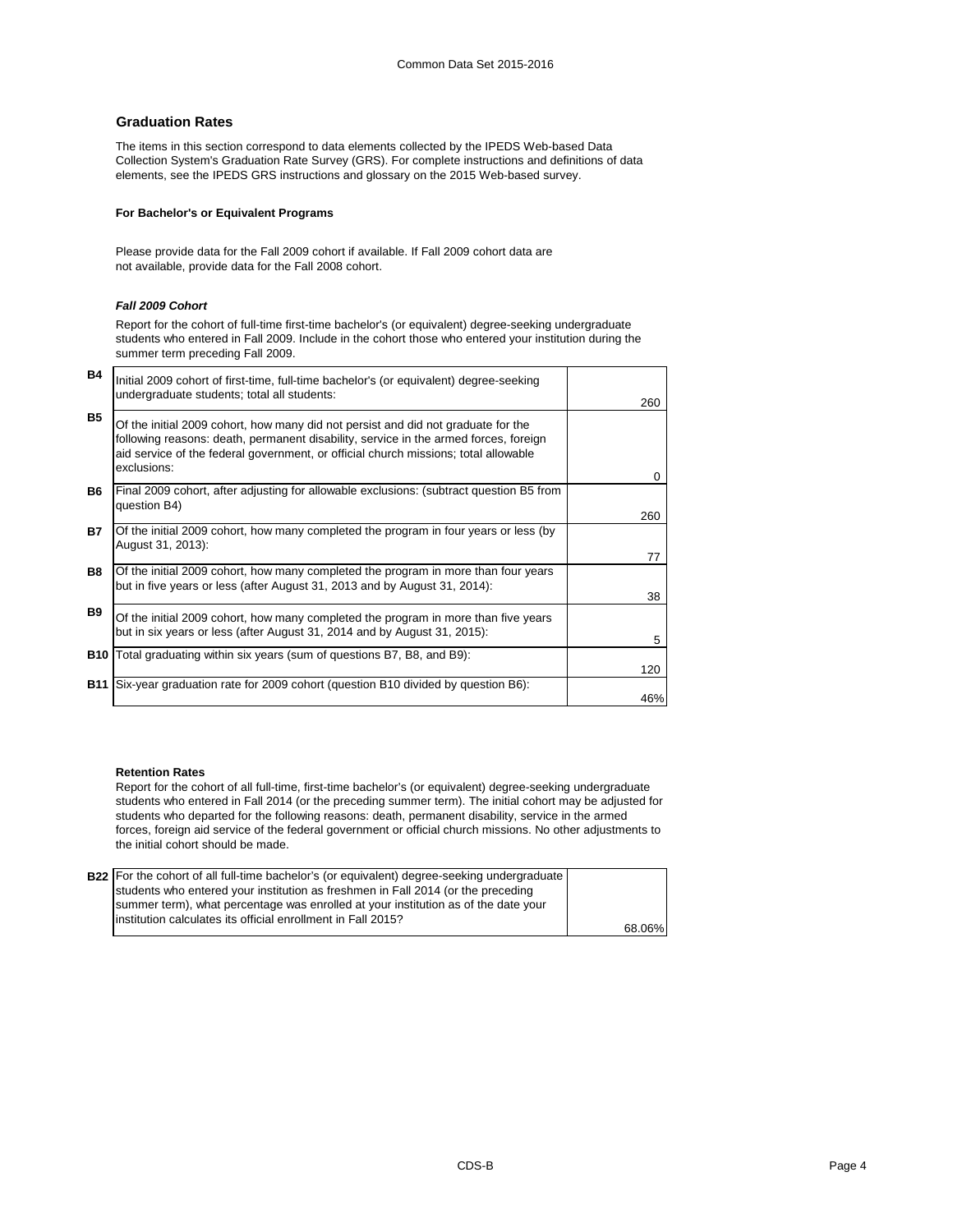# **Graduation Rates**

The items in this section correspond to data elements collected by the IPEDS Web-based Data Collection System's Graduation Rate Survey (GRS). For complete instructions and definitions of data elements, see the IPEDS GRS instructions and glossary on the 2015 Web-based survey.

## **For Bachelor's or Equivalent Programs**

Please provide data for the Fall 2009 cohort if available. If Fall 2009 cohort data are not available, provide data for the Fall 2008 cohort.

## *Fall 2009 Cohort*

Report for the cohort of full-time first-time bachelor's (or equivalent) degree-seeking undergraduate students who entered in Fall 2009. Include in the cohort those who entered your institution during the summer term preceding Fall 2009.

| B4        | Initial 2009 cohort of first-time, full-time bachelor's (or equivalent) degree-seeking<br>undergraduate students; total all students:                                                                                                                                           | 260 |
|-----------|---------------------------------------------------------------------------------------------------------------------------------------------------------------------------------------------------------------------------------------------------------------------------------|-----|
| <b>B5</b> | Of the initial 2009 cohort, how many did not persist and did not graduate for the<br>following reasons: death, permanent disability, service in the armed forces, foreign<br>aid service of the federal government, or official church missions; total allowable<br>exclusions: | 0   |
| <b>B6</b> | Final 2009 cohort, after adjusting for allowable exclusions: (subtract question B5 from<br>question B4)                                                                                                                                                                         | 260 |
| <b>B7</b> | Of the initial 2009 cohort, how many completed the program in four years or less (by<br>August 31, 2013):                                                                                                                                                                       | 77  |
| <b>B8</b> | Of the initial 2009 cohort, how many completed the program in more than four years<br>but in five years or less (after August 31, 2013 and by August 31, 2014):                                                                                                                 | 38  |
| <b>B9</b> | Of the initial 2009 cohort, how many completed the program in more than five years<br>but in six years or less (after August 31, 2014 and by August 31, 2015):                                                                                                                  | 5   |
|           | <b>B10</b> Total graduating within six years (sum of questions B7, B8, and B9):                                                                                                                                                                                                 | 120 |
|           | <b>B11</b> Six-year graduation rate for 2009 cohort (question B10 divided by question B6):                                                                                                                                                                                      | 46% |

#### **Retention Rates**

Report for the cohort of all full-time, first-time bachelor's (or equivalent) degree-seeking undergraduate students who entered in Fall 2014 (or the preceding summer term). The initial cohort may be adjusted for students who departed for the following reasons: death, permanent disability, service in the armed forces, foreign aid service of the federal government or official church missions. No other adjustments to the initial cohort should be made.

| <b>B22</b> For the cohort of all full-time bachelor's (or equivalent) degree-seeking undergraduate |        |
|----------------------------------------------------------------------------------------------------|--------|
| students who entered your institution as freshmen in Fall 2014 (or the preceding                   |        |
| summer term), what percentage was enrolled at your institution as of the date your                 |        |
| institution calculates its official enrollment in Fall 2015?                                       |        |
|                                                                                                    | 68.06% |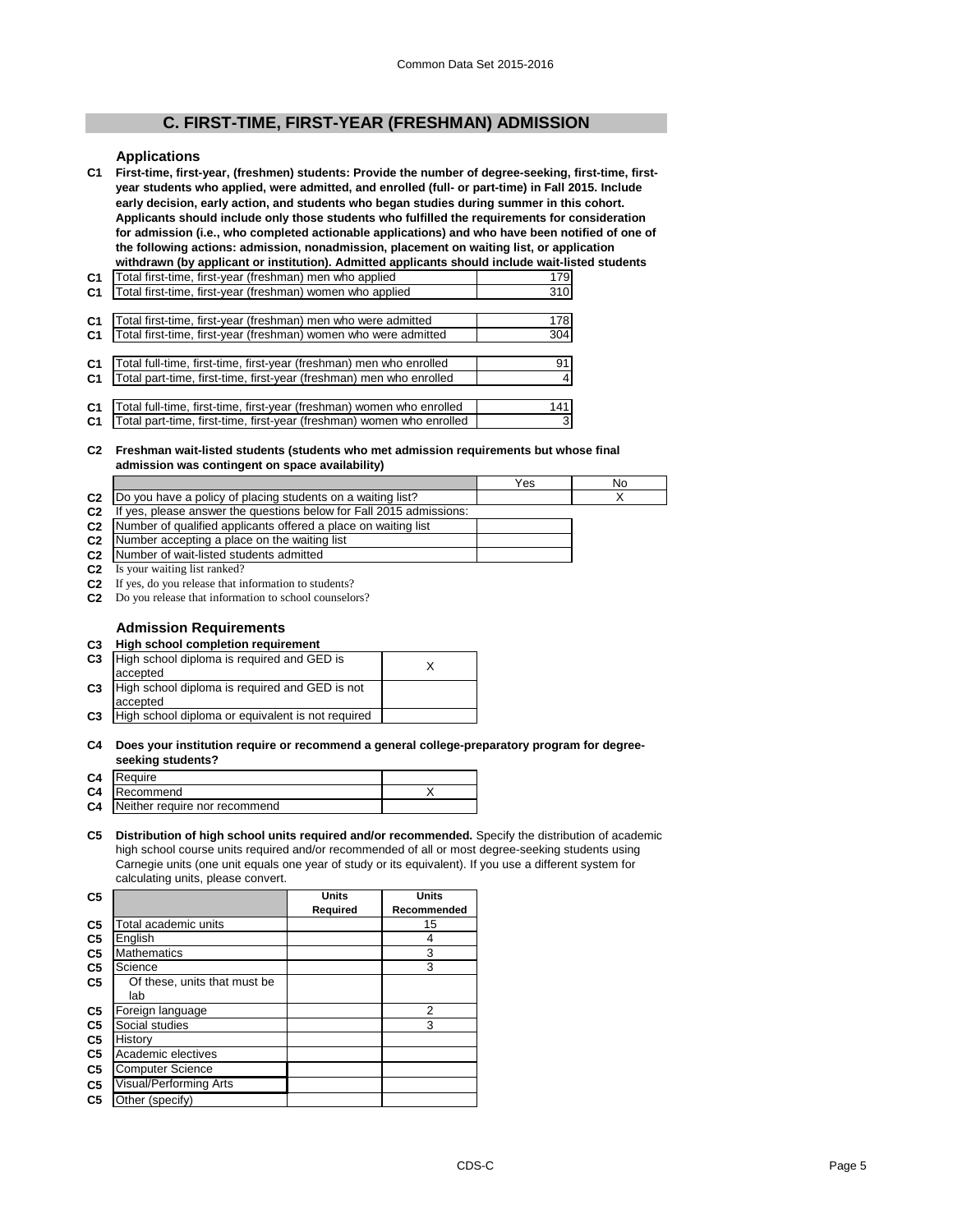# **C. FIRST-TIME, FIRST-YEAR (FRESHMAN) ADMISSION**

#### **Applications**

**C1 First-time, first-year, (freshmen) students: Provide the number of degree-seeking, first-time, firstyear students who applied, were admitted, and enrolled (full- or part-time) in Fall 2015. Include early decision, early action, and students who began studies during summer in this cohort. Applicants should include only those students who fulfilled the requirements for consideration for admission (i.e., who completed actionable applications) and who have been notified of one of the following actions: admission, nonadmission, placement on waiting list, or application withdrawn (by applicant or institution). Admitted applicants should include wait-listed students** 

| C <sub>1</sub> | Total first-time, first-year (freshman) men who applied               | 179 |
|----------------|-----------------------------------------------------------------------|-----|
| C <sub>1</sub> | Total first-time, first-year (freshman) women who applied             | 310 |
|                |                                                                       |     |
| C <sub>1</sub> | Total first-time, first-year (freshman) men who were admitted         | 178 |
| C <sub>1</sub> | Total first-time, first-year (freshman) women who were admitted       | 304 |
|                |                                                                       |     |
| C <sub>1</sub> | Total full-time, first-time, first-year (freshman) men who enrolled   | 91  |
| C <sub>1</sub> | Total part-time, first-time, first-year (freshman) men who enrolled   | 4   |
|                |                                                                       |     |
| C <sub>1</sub> | Total full-time, first-time, first-year (freshman) women who enrolled | 141 |
| C <sub>1</sub> | Total part-time, first-time, first-year (freshman) women who enrolled | 3   |
|                |                                                                       |     |

#### **C2 Freshman wait-listed students (students who met admission requirements but whose final admission was contingent on space availability)**

|                |                                                                     | 'es | No |
|----------------|---------------------------------------------------------------------|-----|----|
|                | The vou have a policy of placing students on a waiting list?        |     |    |
| C <sub>2</sub> | If yes, please answer the questions below for Fall 2015 admissions: |     |    |

- **C2**
- **C2 C2** Number of qualified applicants offered a place on waiting list Number accepting a place on the waiting list
- **C2** Number of wait-listed students admitted
- **C2** Is your waiting list ranked?
- **C2** If yes, do you release that information to students?
- **C2** Do you release that information to school counselors?

# **Admission Requirements**

## **C3 High school completion requirement**

| C <sub>3</sub> | High school diploma is required and GED is                 |  |
|----------------|------------------------------------------------------------|--|
|                | accepted                                                   |  |
| C <sub>3</sub> | High school diploma is required and GED is not<br>accepted |  |
| C <sub>3</sub> | High school diploma or equivalent is not required          |  |

## **C4 Does your institution require or recommend a general college-preparatory program for degreeseeking students?**

| ___________________              |  |
|----------------------------------|--|
| C4 Require                       |  |
| C4 Recommend                     |  |
| C4 Neither require nor recommend |  |
|                                  |  |

#### **C5 Distribution of high school units required and/or recommended.** Specify the distribution of academic high school course units required and/or recommended of all or most degree-seeking students using Carnegie units (one unit equals one year of study or its equivalent). If you use a different system for calculating units, please convert.

| C <sub>5</sub> |                               | Units    | <b>Units</b> |
|----------------|-------------------------------|----------|--------------|
|                |                               | Required | Recommended  |
| C <sub>5</sub> | Total academic units          |          | 15           |
| C <sub>5</sub> | English                       |          | 4            |
| C <sub>5</sub> | <b>Mathematics</b>            |          | 3            |
| C <sub>5</sub> | Science                       |          | 3            |
| C <sub>5</sub> | Of these, units that must be  |          |              |
|                | lab                           |          |              |
| C <sub>5</sub> | Foreign language              |          | 2            |
| C <sub>5</sub> | Social studies                |          | 3            |
| C <sub>5</sub> | History                       |          |              |
| C <sub>5</sub> | Academic electives            |          |              |
| C <sub>5</sub> | <b>Computer Science</b>       |          |              |
| C <sub>5</sub> | <b>Visual/Performing Arts</b> |          |              |
| C5             | Other (specify)               |          |              |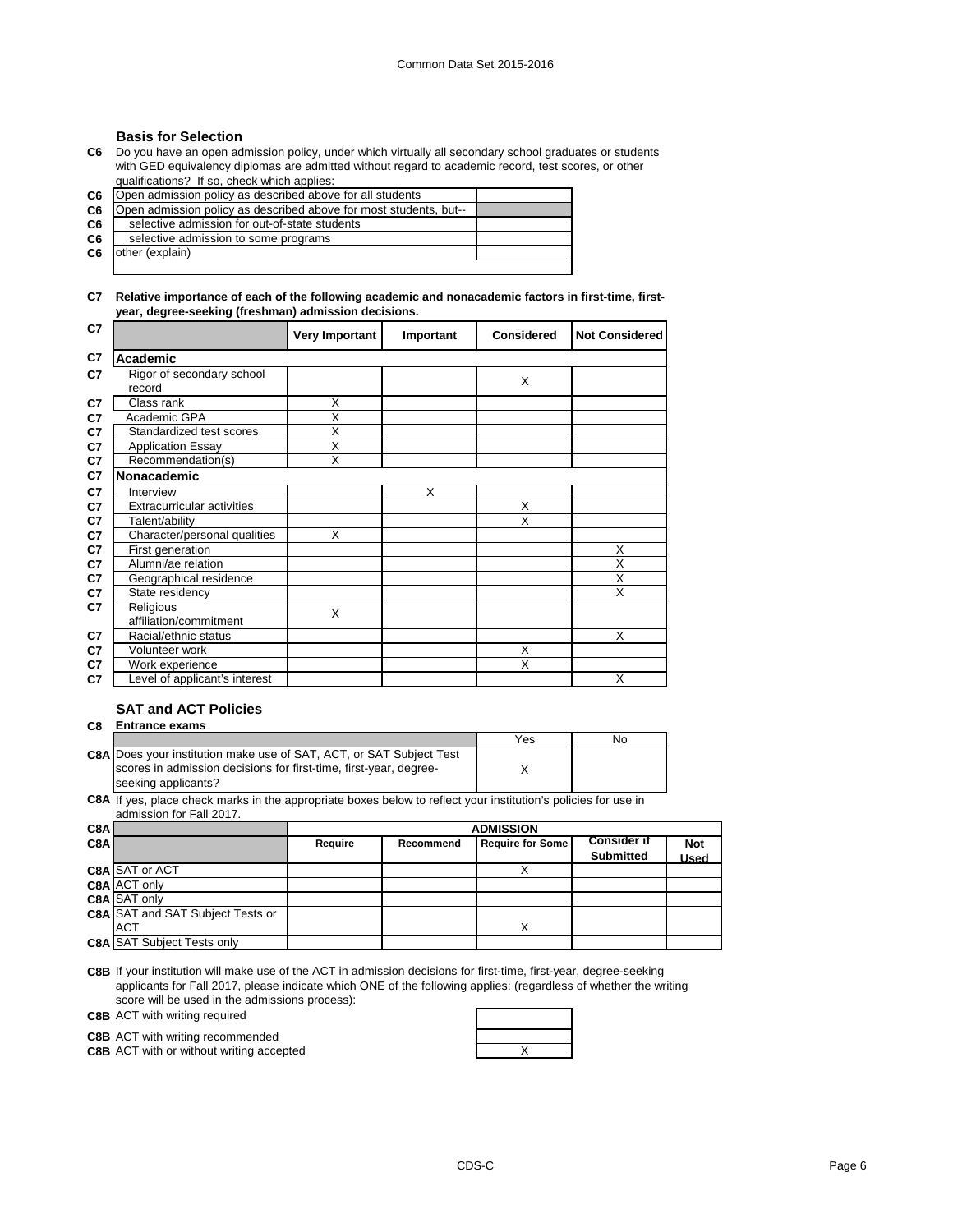# **Basis for Selection**

**C6** Do you have an open admission policy, under which virtually all secondary school graduates or students with GED equivalency diplomas are admitted without regard to academic record, test scores, or other qualifications? If so, check which applies:

 $C<sub>6</sub>$ 

|    | <b>C6</b>   Open admission policy as described above for all students |  |
|----|-----------------------------------------------------------------------|--|
| C6 | Open admission policy as described above for most students, but--     |  |
| C6 | selective admission for out-of-state students                         |  |
| C6 | selective admission to some programs                                  |  |
| C6 | other (explain)                                                       |  |
|    |                                                                       |  |

## **C7 Relative importance of each of the following academic and nonacademic factors in first-time, firstyear, degree-seeking (freshman) admission decisions.**

| C7 |                                     | Very Important          | Important | <b>Considered</b> | <b>Not Considered</b> |
|----|-------------------------------------|-------------------------|-----------|-------------------|-----------------------|
| C7 | Academic                            |                         |           |                   |                       |
| C7 | Rigor of secondary school<br>record |                         |           | X                 |                       |
| C7 | Class rank                          | X                       |           |                   |                       |
| C7 | Academic GPA                        | $\overline{\mathsf{x}}$ |           |                   |                       |
| C7 | Standardized test scores            | X                       |           |                   |                       |
| C7 | <b>Application Essay</b>            | X                       |           |                   |                       |
| C7 | Recommendation(s)                   | $\overline{\mathsf{x}}$ |           |                   |                       |
| C7 | <b>Nonacademic</b>                  |                         |           |                   |                       |
| C7 | Interview                           |                         | X         |                   |                       |
| C7 | Extracurricular activities          |                         |           | X                 |                       |
| C7 | Talent/ability                      |                         |           | X                 |                       |
| C7 | Character/personal qualities        | X                       |           |                   |                       |
| C7 | First generation                    |                         |           |                   | X                     |
| C7 | Alumni/ae relation                  |                         |           |                   | X                     |
| C7 | Geographical residence              |                         |           |                   | X                     |
| C7 | State residency                     |                         |           |                   | X                     |
| C7 | Religious                           | X                       |           |                   |                       |
|    | affiliation/commitment              |                         |           |                   |                       |
| C7 | Racial/ethnic status                |                         |           |                   | X                     |
| C7 | Volunteer work                      |                         |           | X                 |                       |
| C7 | Work experience                     |                         |           | X                 |                       |
| C7 | Level of applicant's interest       |                         |           |                   | X                     |

# **SAT and ACT Policies**

## **C8 Entrance exams**

|                                                                            | Yes | Nο |
|----------------------------------------------------------------------------|-----|----|
| <b>C8A Does your institution make use of SAT, ACT, or SAT Subject Test</b> |     |    |
| scores in admission decisions for first-time, first-year, degree-          |     |    |
| seeking applicants?                                                        |     |    |

**C8A** If yes, place check marks in the appropriate boxes below to reflect your institution's policies for use in admission for Fall 2017.

| C8A |                                         |         | <b>ADMISSION</b>                                                         |   |                  |      |
|-----|-----------------------------------------|---------|--------------------------------------------------------------------------|---|------------------|------|
| C8A |                                         | Require | <b>Consider if</b><br><b>Require for Some</b><br><b>Not</b><br>Recommend |   |                  |      |
|     |                                         |         |                                                                          |   | <b>Submitted</b> | Used |
|     | <b>C8A SAT or ACT</b>                   |         |                                                                          |   |                  |      |
|     | <b>C8A ACT only</b>                     |         |                                                                          |   |                  |      |
|     | C8A SAT only                            |         |                                                                          |   |                  |      |
|     | <b>C8A SAT and SAT Subject Tests or</b> |         |                                                                          |   |                  |      |
|     | <b>ACT</b>                              |         |                                                                          | x |                  |      |
|     | <b>C8A SAT Subject Tests only</b>       |         |                                                                          |   |                  |      |

**C8B** If your institution will make use of the ACT in admission decisions for first-time, first-year, degree-seeking applicants for Fall 2017, please indicate which ONE of the following applies: (regardless of whether the writing score will be used in the admissions process):

**C8B** ACT with writing required

**C8B** ACT with writing recommended

**C8B** ACT with or without writing accepted **ACT ACCES ACT ACCES ACCES ACCES ACCES ACCES ACCES ACCES ACCES ACCES ACCES ACCES ACCES ACCES ACCES ACCES ACCES ACCES ACCES ACCES ACCES** 

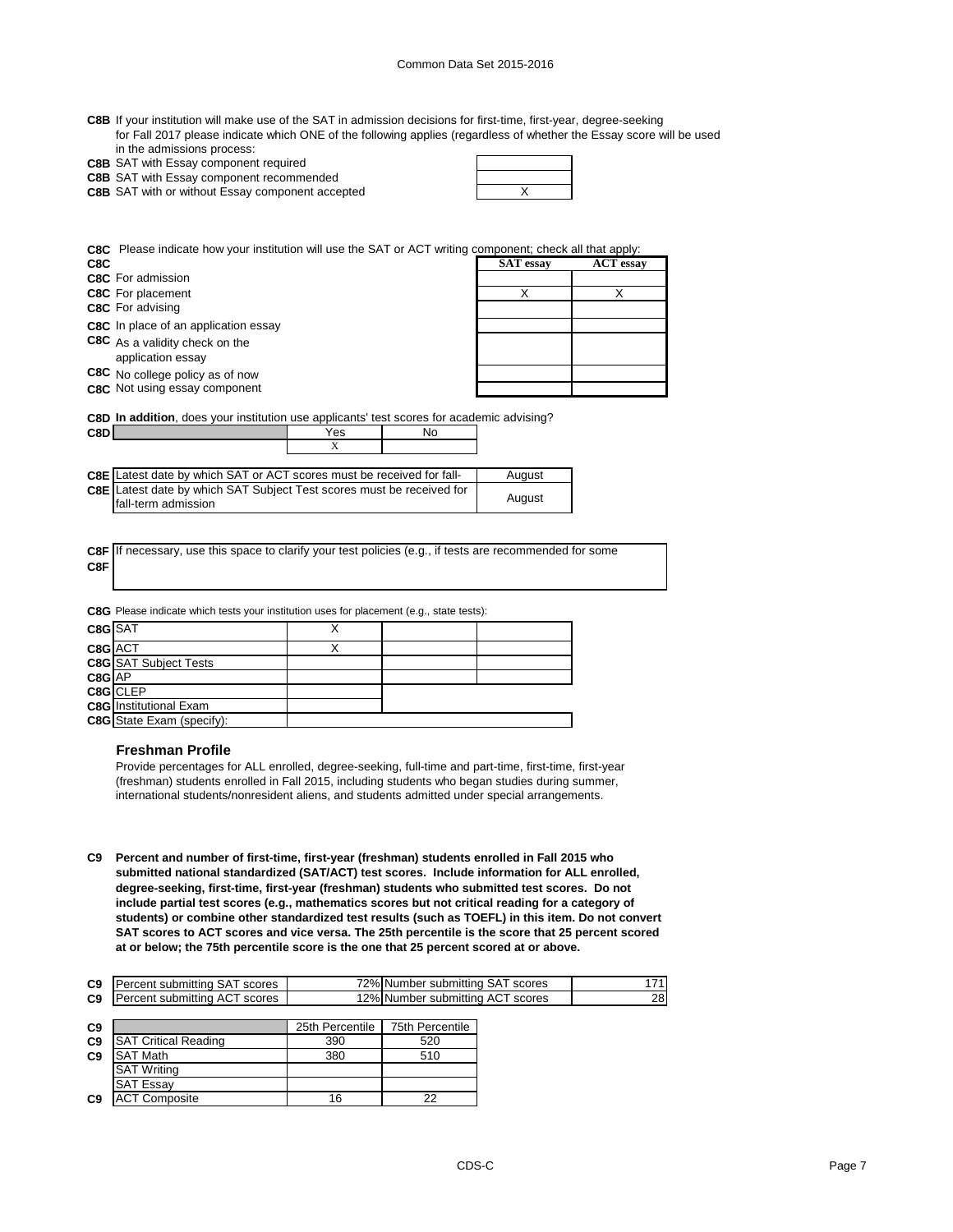| C8B If your institution will make use of the SAT in admission decisions for first-time, first-year, degree-seeking   |
|----------------------------------------------------------------------------------------------------------------------|
| for Fall 2017 please indicate which ONE of the following applies (regardless of whether the Essay score will be used |
| in the admissions process:                                                                                           |

| in the damissions process.                   |
|----------------------------------------------|
| <b>C8B</b> SAT with Essay component required |

**C8B** SAT with Essay component recommended

| <b>C8B</b> SAT with or without Essay component accepted |  |
|---------------------------------------------------------|--|
|                                                         |  |

┱

**C8C** Please indicate how your institution will use the SAT or ACT writing component; check all that apply:

| C8C                                  | <b>SAT</b> essay | <b>ACT</b> essay |
|--------------------------------------|------------------|------------------|
| <b>C8C</b> For admission             |                  |                  |
| <b>C8C</b> For placement             |                  |                  |
| <b>C8C</b> For advising              |                  |                  |
| C8C In place of an application essay |                  |                  |
| C8C As a validity check on the       |                  |                  |
| application essay                    |                  |                  |
| C8C No college policy as of now      |                  |                  |
| C8C Not using essay component        |                  |                  |

**C8D In addition**, does your institution use applicants' test scores for academic advising?

| C8DI |                                                                                                     | Yes    | No |        |
|------|-----------------------------------------------------------------------------------------------------|--------|----|--------|
|      |                                                                                                     |        |    |        |
|      |                                                                                                     |        |    |        |
|      | <b>C8E</b> Latest date by which SAT or ACT scores must be received for fall-                        |        |    | August |
|      | <b>C8E</b> Latest date by which SAT Subject Test scores must be received for<br>fall-term admission | August |    |        |

**C8F** If necessary, use this space to clarify your test policies (e.g., if tests are recommended for some **C8F**

**C8G** Please indicate which tests your institution uses for placement (e.g., state tests):

| C8G SAT |                                  |  |  |
|---------|----------------------------------|--|--|
| C8G ACT |                                  |  |  |
|         | <b>C8G</b> SAT Subject Tests     |  |  |
| C8G AP  |                                  |  |  |
|         | C8G CLEP                         |  |  |
|         | <b>C8G</b> Institutional Exam    |  |  |
|         | <b>C8G</b> State Exam (specify): |  |  |
|         |                                  |  |  |

#### **Freshman Profile**

Provide percentages for ALL enrolled, degree-seeking, full-time and part-time, first-time, first-year (freshman) students enrolled in Fall 2015, including students who began studies during summer, international students/nonresident aliens, and students admitted under special arrangements.

**C9 Percent and number of first-time, first-year (freshman) students enrolled in Fall 2015 who submitted national standardized (SAT/ACT) test scores. Include information for ALL enrolled, degree-seeking, first-time, first-year (freshman) students who submitted test scores. Do not include partial test scores (e.g., mathematics scores but not critical reading for a category of students) or combine other standardized test results (such as TOEFL) in this item. Do not convert SAT scores to ACT scores and vice versa. The 25th percentile is the score that 25 percent scored at or below; the 75th percentile score is the one that 25 percent scored at or above.**

| <b>C9</b> Percent submitting SAT scores | 72% Number submitting SAT scores |     |
|-----------------------------------------|----------------------------------|-----|
| <b>C9</b> Percent submitting ACT scores | 12% Number submitting ACT scores | 281 |

| C <sub>9</sub> |                             | 25th Percentile | <b>75th Percentile</b> |
|----------------|-----------------------------|-----------------|------------------------|
| C <sub>9</sub> | <b>SAT Critical Reading</b> | 390             | 520                    |
| C <sub>9</sub> | <b>SAT Math</b>             | 380             | 510                    |
|                | <b>SAT Writing</b>          |                 |                        |
|                | <b>SAT Essay</b>            |                 |                        |
| C <sub>9</sub> | <b>ACT Composite</b>        | 16              | 22                     |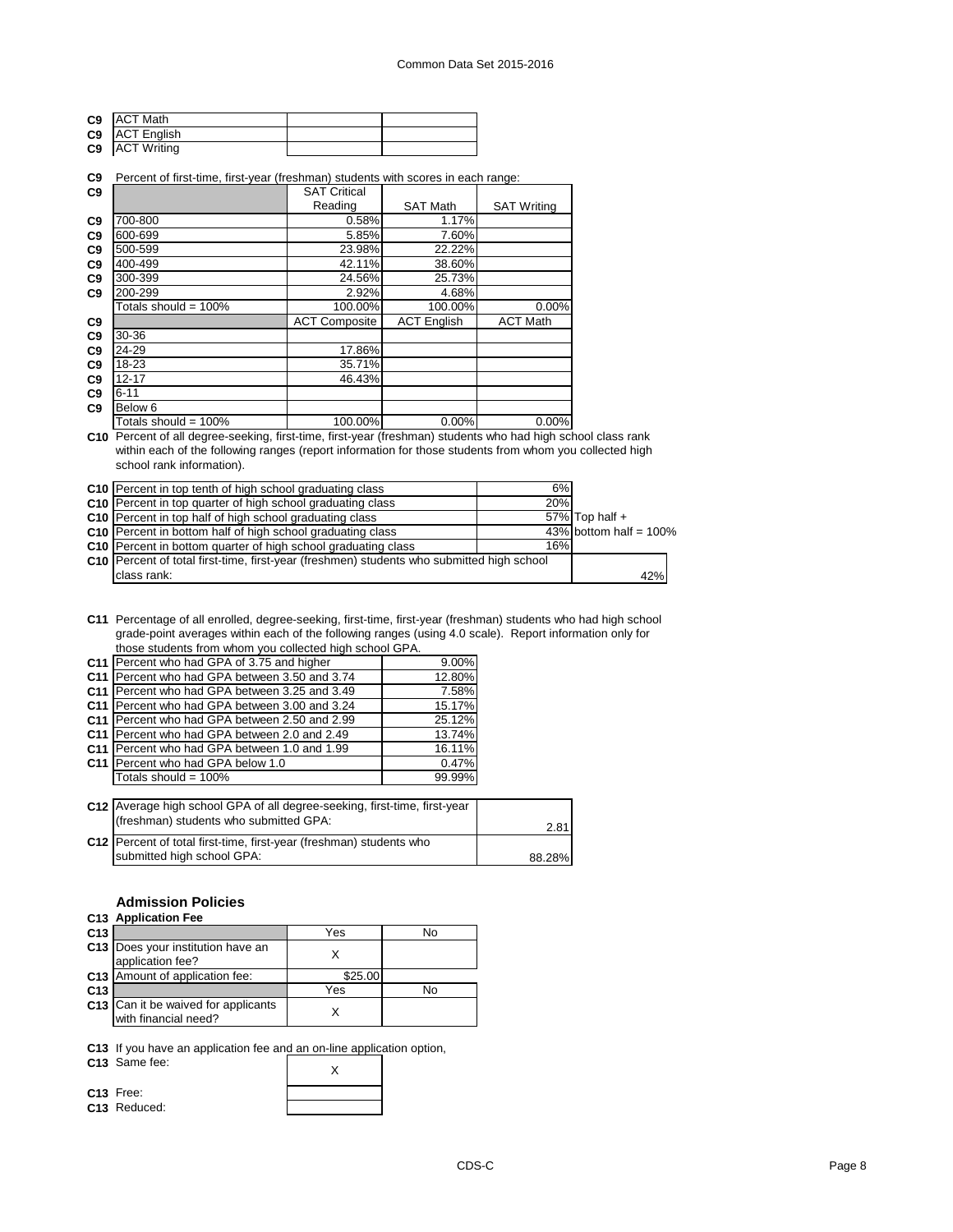| C9 ACT Math      |  |
|------------------|--|
| C9 ACT English   |  |
| C9   ACT Writing |  |

# **C9** Percent of first-time, first-year (freshman) students with scores in each range:

| C <sub>9</sub> |                         | <b>SAT Critical</b>  |                    |                    |
|----------------|-------------------------|----------------------|--------------------|--------------------|
|                |                         | Reading              | <b>SAT Math</b>    | <b>SAT Writing</b> |
| C9             | 700-800                 | 0.58%                | 1.17%              |                    |
| C <sub>9</sub> | 600-699                 | 5.85%                | 7.60%              |                    |
| C <sub>9</sub> | 500-599                 | 23.98%               | 22.22%             |                    |
| C9             | 400-499                 | 42.11%               | 38.60%             |                    |
| C9             | 300-399                 | 24.56%               | 25.73%             |                    |
| C <sub>9</sub> | 200-299                 | 2.92%                | 4.68%              |                    |
|                | Totals should = 100%    | 100.00%              | 100.00%            | 0.00%              |
| C9             |                         | <b>ACT Composite</b> | <b>ACT English</b> | <b>ACT Math</b>    |
| C9             | $30 - 36$               |                      |                    |                    |
| C <sub>9</sub> | 24-29                   | 17.86%               |                    |                    |
| C <sub>9</sub> | 18-23                   | 35.71%               |                    |                    |
| C9             | $12 - 17$               | 46.43%               |                    |                    |
| C9             | $6 - 11$                |                      |                    |                    |
| C <sub>9</sub> | Below 6                 |                      |                    |                    |
|                | Totals should = $100\%$ | 100.00%              | $0.00\%$           | 0.00%              |

**C10** Percent of all degree-seeking, first-time, first-year (freshman) students who had high school class rank within each of the following ranges (report information for those students from whom you collected high school rank information).

| C10 Percent in top tenth of high school graduating class                                    | 6%  |                           |  |
|---------------------------------------------------------------------------------------------|-----|---------------------------|--|
| C10 Percent in top quarter of high school graduating class                                  | 20% |                           |  |
| C10   Percent in top half of high school graduating class                                   |     | 57% Top half $+$          |  |
| C10 Percent in bottom half of high school graduating class                                  |     | 43% bottom half = $100\%$ |  |
| C10 Percent in bottom quarter of high school graduating class                               | 16% |                           |  |
| C10   Percent of total first-time, first-year (freshmen) students who submitted high school |     |                           |  |
| class rank:                                                                                 |     | 42%                       |  |

**C11** Percentage of all enrolled, degree-seeking, first-time, first-year (freshman) students who had high school grade-point averages within each of the following ranges (using 4.0 scale). Report information only for those students from whom you collected high school GPA.

| C11   Percent who had GPA of 3.75 and higher  | $9.00\%$ |
|-----------------------------------------------|----------|
| C11 Percent who had GPA between 3.50 and 3.74 | 12.80%   |
| C11 Percent who had GPA between 3.25 and 3.49 | 7.58%    |
| C11 Percent who had GPA between 3.00 and 3.24 | 15.17%   |
| C11 Percent who had GPA between 2.50 and 2.99 | 25.12%   |
| C11 Percent who had GPA between 2.0 and 2.49  | 13.74%   |
| C11 Percent who had GPA between 1.0 and 1.99  | 16.11%   |
| C11 Percent who had GPA below 1.0             | 0.47%    |
| Totals should = 100%                          | 99.99%   |
|                                               |          |

| C12 Average high school GPA of all degree-seeking, first-time, first-year |        |
|---------------------------------------------------------------------------|--------|
| (freshman) students who submitted GPA:                                    | 2.81   |
| C12 Percent of total first-time, first-year (freshman) students who       |        |
| submitted high school GPA:                                                | 88.28% |

# **Admission Policies**

#### **C13 Application Fee**

| C <sub>13</sub> |                                                             | Yes     | No |
|-----------------|-------------------------------------------------------------|---------|----|
|                 | C13 Does your institution have an<br>application fee?       |         |    |
|                 | C13 Amount of application fee:                              | \$25.00 |    |
| C <sub>13</sub> |                                                             | Yes     | No |
|                 | C13 Can it be waived for applicants<br>with financial need? |         |    |

**C13** If you have an application fee and an on-line application option,

C13 Same fee:

**C13** Free: **C13** Reduced:

CDS-C Page 8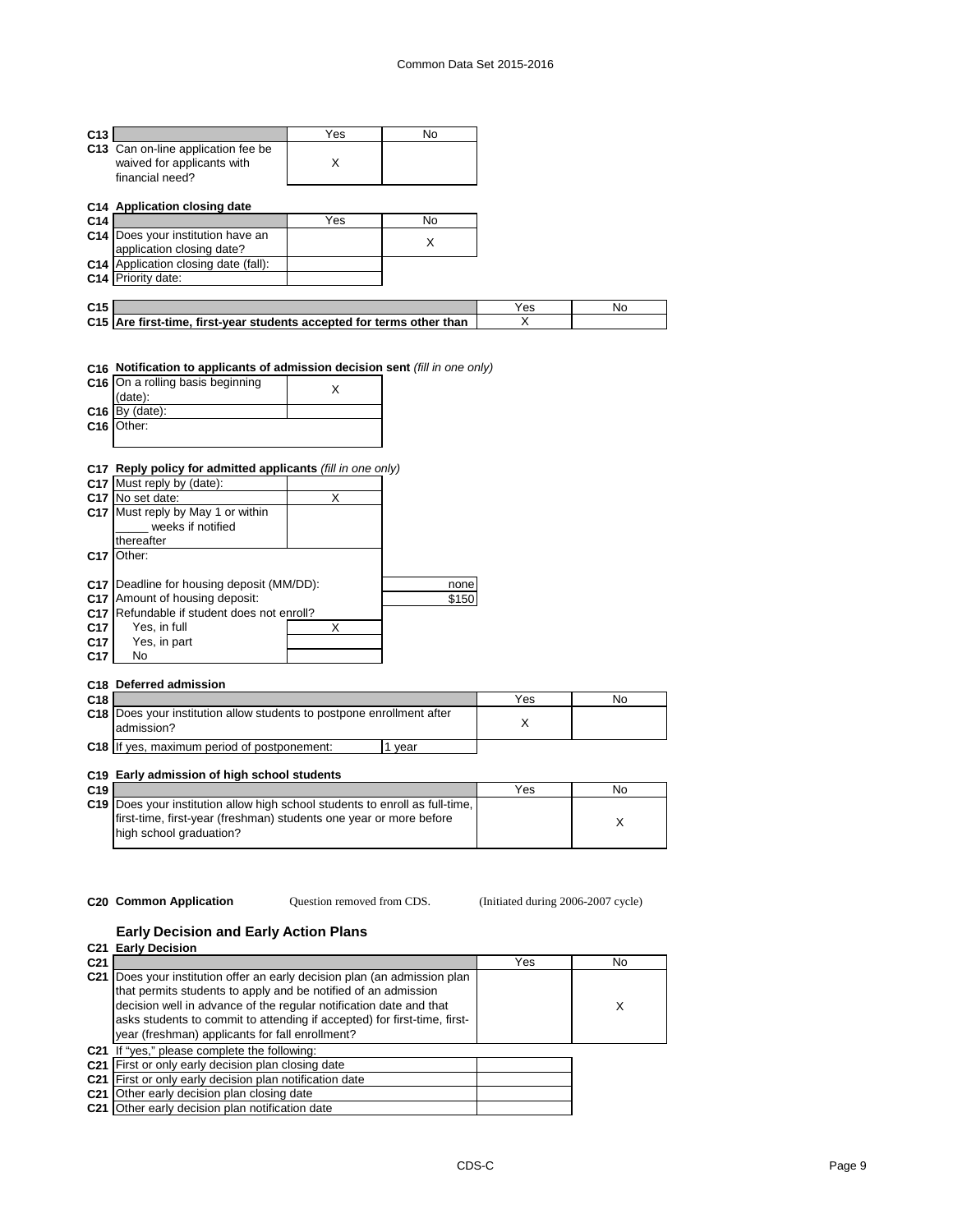| C <sub>13</sub> |                                                                                      | Yes | No. |     |     |
|-----------------|--------------------------------------------------------------------------------------|-----|-----|-----|-----|
|                 | C13 Can on-line application fee be<br>waived for applicants with<br>financial need?  | X   |     |     |     |
|                 | C14 Application closing date                                                         |     |     |     |     |
| C <sub>14</sub> |                                                                                      | Yes | No  |     |     |
|                 | C14 Does your institution have an<br>application closing date?                       |     | X   |     |     |
|                 | C14 Application closing date (fall):                                                 |     |     |     |     |
|                 | C14 Priority date:                                                                   |     |     |     |     |
|                 |                                                                                      |     |     |     |     |
|                 |                                                                                      |     |     |     | No. |
| C <sub>15</sub> |                                                                                      |     |     | Yes |     |
|                 | C15 Are first-time, first-year students accepted for terms other than                |     |     | X   |     |
|                 | C16 Notification to applicants of admission decision sent (fill in one only)         |     |     |     |     |
|                 | C16 On a rolling basis beginning<br>(date):                                          | X   |     |     |     |
|                 | $C16$ By (date):                                                                     |     |     |     |     |
| C <sub>16</sub> | Other:                                                                               |     |     |     |     |
|                 |                                                                                      |     |     |     |     |
|                 |                                                                                      |     |     |     |     |
| C <sub>17</sub> | Reply policy for admitted applicants (fill in one only)<br>C17 Must reply by (date): |     |     |     |     |

|                 | C17 Must reply by (date):                   |   |       |
|-----------------|---------------------------------------------|---|-------|
|                 | C <sub>17</sub> No set date:                | х |       |
|                 | C17 Must reply by May 1 or within           |   |       |
|                 | weeks if notified                           |   |       |
|                 | thereafter                                  |   |       |
| C <sub>17</sub> | Other:                                      |   |       |
|                 |                                             |   |       |
|                 | C17   Deadline for housing deposit (MM/DD): |   | none  |
| C <sub>17</sub> | Amount of housing deposit:                  |   | \$150 |
| C <sub>17</sub> | Refundable if student does not enroll?      |   |       |
| C <sub>17</sub> | Yes, in full                                | X |       |
| C <sub>17</sub> | Yes, in part                                |   |       |
| C <sub>17</sub> | No                                          |   |       |

## **C18 Deferred admission**

| C <sub>18</sub> |                                                                                            | Yes | No |
|-----------------|--------------------------------------------------------------------------------------------|-----|----|
|                 | <b>C18</b> Does your institution allow students to postpone enrollment after<br>admission? |     |    |
| $C18$ If        | f ves. maximum period of postponement:<br>vear                                             |     |    |

# **C19 Early admission of high school students**

| C <sub>19</sub> |                                                                                     | Yes | No |
|-----------------|-------------------------------------------------------------------------------------|-----|----|
|                 | <b>C19</b> Does your institution allow high school students to enroll as full-time, |     |    |
|                 | first-time, first-year (freshman) students one year or more before                  |     |    |
|                 | high school graduation?                                                             |     |    |
|                 |                                                                                     |     |    |

Question removed from CDS.

**C20 Common Application Question removed from CDS.** (Initiated during 2006-2007 cycle)

# **Early Decision and Early Action Plans**

|                 | C <sub>21</sub> Early Decision                                                                                                                                                                                                                                                                                                               |     |           |  |  |  |  |  |
|-----------------|----------------------------------------------------------------------------------------------------------------------------------------------------------------------------------------------------------------------------------------------------------------------------------------------------------------------------------------------|-----|-----------|--|--|--|--|--|
| C <sub>21</sub> |                                                                                                                                                                                                                                                                                                                                              | Yes | <b>No</b> |  |  |  |  |  |
| C <sub>21</sub> | Does your institution offer an early decision plan (an admission plan<br>that permits students to apply and be notified of an admission<br>decision well in advance of the regular notification date and that<br>asks students to commit to attending if accepted) for first-time, first-<br>year (freshman) applicants for fall enrollment? |     | X         |  |  |  |  |  |
|                 | C21 If "yes," please complete the following:                                                                                                                                                                                                                                                                                                 |     |           |  |  |  |  |  |
|                 | C21 First or only early decision plan closing date                                                                                                                                                                                                                                                                                           |     |           |  |  |  |  |  |
|                 | C <sub>21</sub> First or only early decision plan notification date                                                                                                                                                                                                                                                                          |     |           |  |  |  |  |  |
|                 | C <sub>21</sub> Other early decision plan closing date                                                                                                                                                                                                                                                                                       |     |           |  |  |  |  |  |
|                 | C <sub>21</sub> Other early decision plan notification date                                                                                                                                                                                                                                                                                  |     |           |  |  |  |  |  |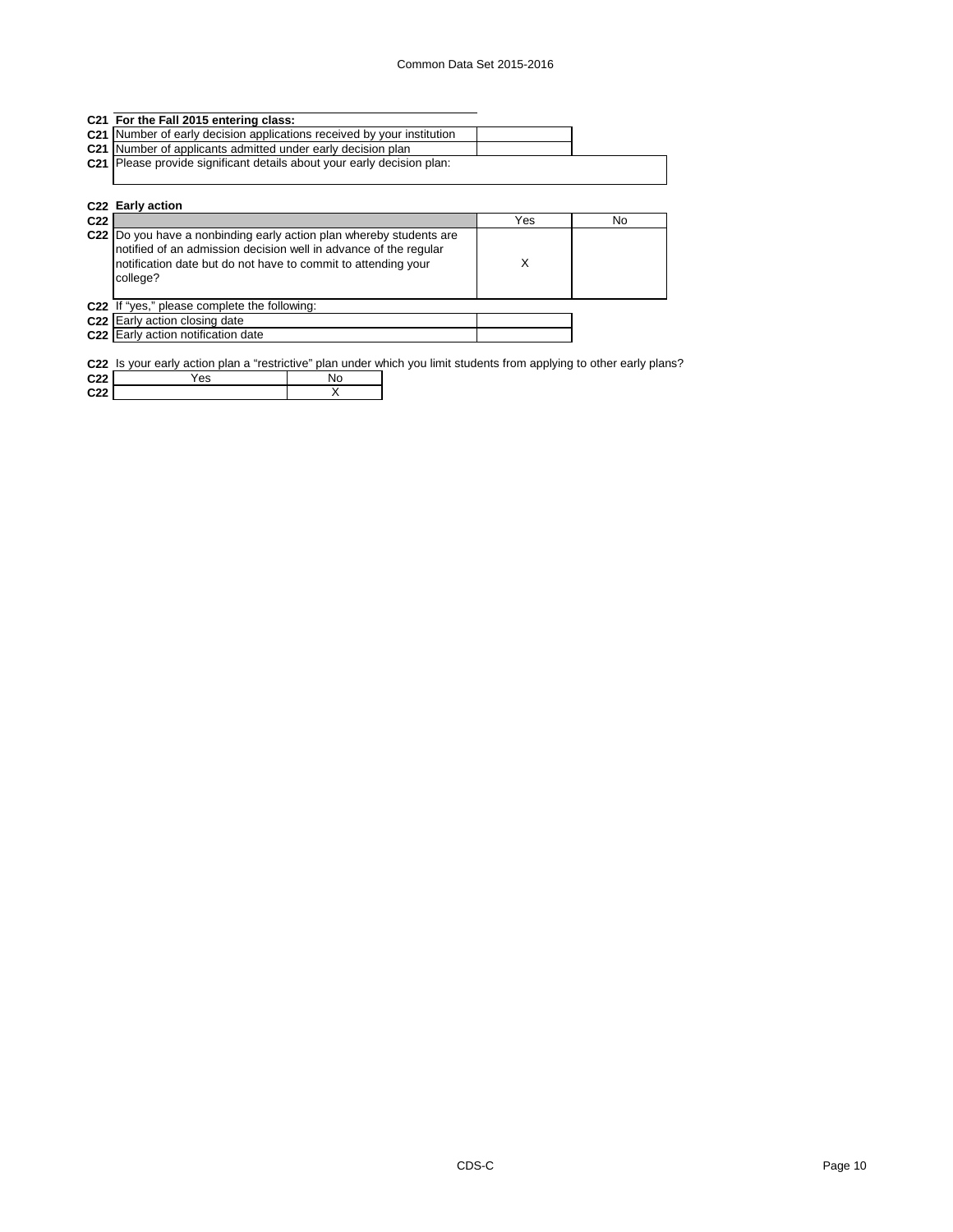|                 | C21 For the Fall 2015 entering class:                                                                                                                                                                                |     |    |
|-----------------|----------------------------------------------------------------------------------------------------------------------------------------------------------------------------------------------------------------------|-----|----|
|                 | C21 Number of early decision applications received by your institution                                                                                                                                               |     |    |
| C <sub>21</sub> | Number of applicants admitted under early decision plan                                                                                                                                                              |     |    |
| C <sub>21</sub> | Please provide significant details about your early decision plan:                                                                                                                                                   |     |    |
|                 |                                                                                                                                                                                                                      |     |    |
|                 |                                                                                                                                                                                                                      |     |    |
|                 | C <sub>22</sub> Early action                                                                                                                                                                                         |     |    |
| C <sub>22</sub> |                                                                                                                                                                                                                      | Yes | No |
|                 | C22 Do you have a nonbinding early action plan whereby students are<br>notified of an admission decision well in advance of the regular<br>notification date but do not have to commit to attending your<br>college? | X   |    |
|                 | C22 If "yes," please complete the following:                                                                                                                                                                         |     |    |
|                 | C22 Early action closing date                                                                                                                                                                                        |     |    |
|                 | C22 Early action notification date                                                                                                                                                                                   |     |    |
|                 |                                                                                                                                                                                                                      |     |    |

**C22** Is your early action plan a "restrictive" plan under which you limit students from applying to other early plans?

| C <sub>22</sub> | ≚es |  |
|-----------------|-----|--|
| C <sub>22</sub> |     |  |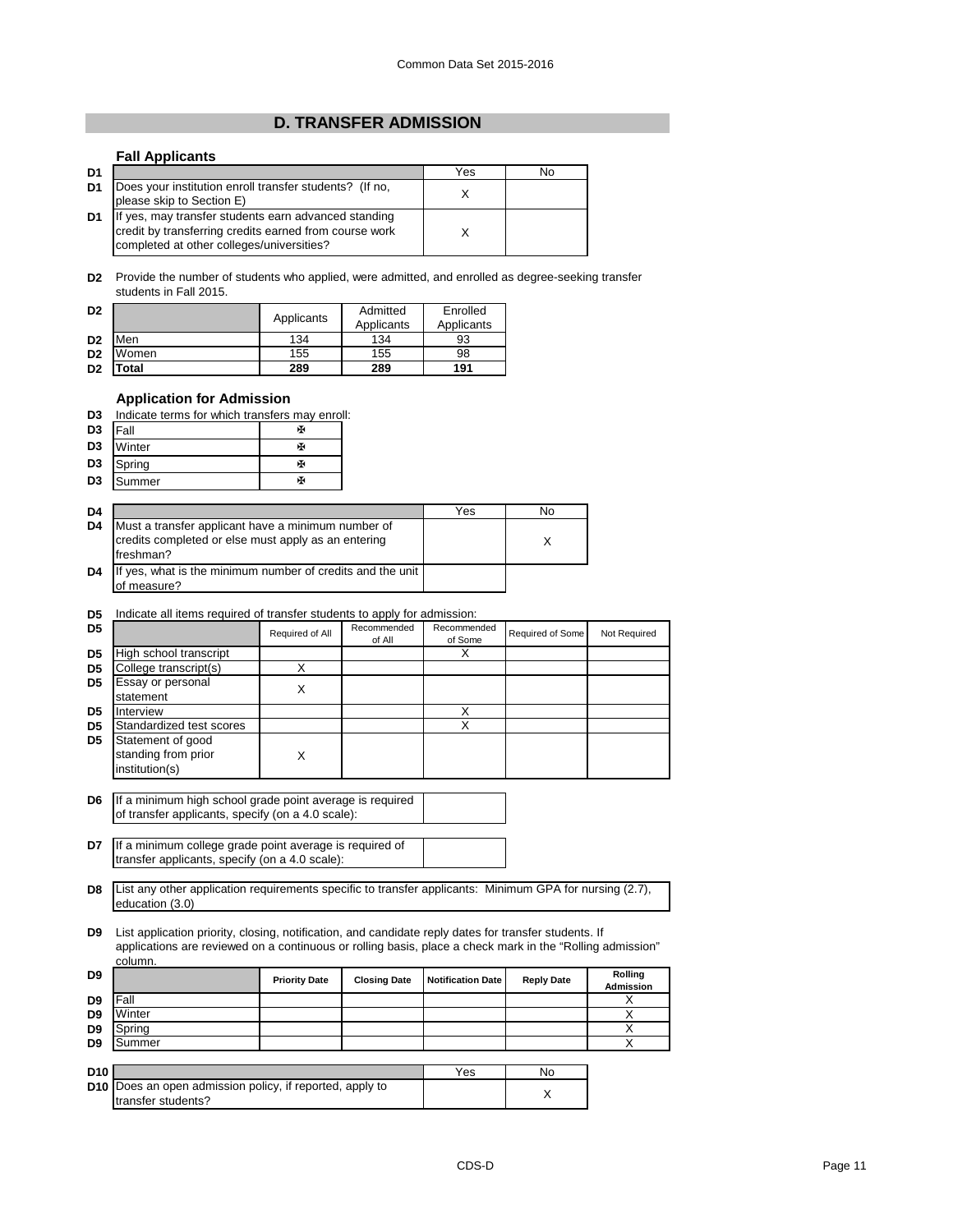# **D. TRANSFER ADMISSION**

# **Fall Applicants**

| D <sub>1</sub> |                                                                                                                                                             | Yes | No |
|----------------|-------------------------------------------------------------------------------------------------------------------------------------------------------------|-----|----|
| D <sub>1</sub> | Does your institution enroll transfer students? (If no,<br>please skip to Section E)                                                                        |     |    |
| D <sub>1</sub> | If yes, may transfer students earn advanced standing<br>credit by transferring credits earned from course work<br>completed at other colleges/universities? |     |    |

**D2** Provide the number of students who applied, were admitted, and enrolled as degree-seeking transfer students in Fall 2015.

| D <sub>2</sub> |       | Applicants | Admitted<br>Applicants | Enrolled<br>Applicants |
|----------------|-------|------------|------------------------|------------------------|
| D <sub>2</sub> | Men   | 134        | 134                    | 93                     |
| D <sub>2</sub> | Women | 155        | 155                    | 98                     |
| D <sub>2</sub> | otal. | 289        | 289                    | 191                    |

# **Application for Admission**

| D3 | Indicate terms for which transfers may enroll: |  |  |  |  |
|----|------------------------------------------------|--|--|--|--|
|    |                                                |  |  |  |  |

| D <sub>3</sub> | <b>Fall</b> | х |
|----------------|-------------|---|
| D <sub>3</sub> | Winter      | ж |
| D <sub>3</sub> | Spring      | ж |
| D <sub>3</sub> | Summer      | ж |

| D <sub>4</sub> |                                                                                                                        | Yes | No |
|----------------|------------------------------------------------------------------------------------------------------------------------|-----|----|
| D <sub>4</sub> | Must a transfer applicant have a minimum number of<br>credits completed or else must apply as an entering<br>freshman? |     |    |
| D <sub>4</sub> | If yes, what is the minimum number of credits and the unit<br>of measure?                                              |     |    |

## **D5** Indicate all items required of transfer students to apply for admission:

| D <sub>5</sub> |                                                            | Required of All | Recommended<br>of All | Recommended<br>of Some | Required of Some | Not Required |
|----------------|------------------------------------------------------------|-----------------|-----------------------|------------------------|------------------|--------------|
| D <sub>5</sub> | High school transcript                                     |                 |                       |                        |                  |              |
| D <sub>5</sub> | College transcript(s)                                      |                 |                       |                        |                  |              |
| D <sub>5</sub> | Essay or personal                                          | х               |                       |                        |                  |              |
|                | statement                                                  |                 |                       |                        |                  |              |
| D <sub>5</sub> | Interview                                                  |                 |                       | Χ                      |                  |              |
| D <sub>5</sub> | Standardized test scores                                   |                 |                       | Х                      |                  |              |
| D <sub>5</sub> | Statement of good<br>standing from prior<br>institution(s) |                 |                       |                        |                  |              |

**D6** If a minimum high school grade point average is required of transfer applicants, specify (on a 4.0 scale):

**D7** If a minimum college grade point average is required of transfer applicants, specify (on a 4.0 scale):

transfer students?

**D8** List any other application requirements specific to transfer applicants: Minimum GPA for nursing (2.7), education (3.0)

**D9** List application priority, closing, notification, and candidate reply dates for transfer students. If applications are reviewed on a continuous or rolling basis, place a check mark in the "Rolling admission" column.

| D <sub>9</sub>  |                                                                                       | <b>Priority Date</b> | <b>Closing Date</b> | <b>Notification Date</b> | <b>Reply Date</b> | Rolling<br><b>Admission</b> |
|-----------------|---------------------------------------------------------------------------------------|----------------------|---------------------|--------------------------|-------------------|-----------------------------|
| D <sub>9</sub>  | Fall                                                                                  |                      |                     |                          |                   | ⌒                           |
| D <sub>9</sub>  | Winter                                                                                |                      |                     |                          |                   |                             |
| D <sub>9</sub>  | Spring                                                                                |                      |                     |                          |                   |                             |
| D <sub>9</sub>  | Summer                                                                                |                      |                     |                          |                   |                             |
|                 |                                                                                       |                      |                     |                          |                   |                             |
| D <sub>10</sub> |                                                                                       |                      |                     | Yes                      | No                |                             |
|                 | <b>D10</b> Does an open admission policy, if reported, apply to<br>trangfor etudante? |                      |                     |                          |                   |                             |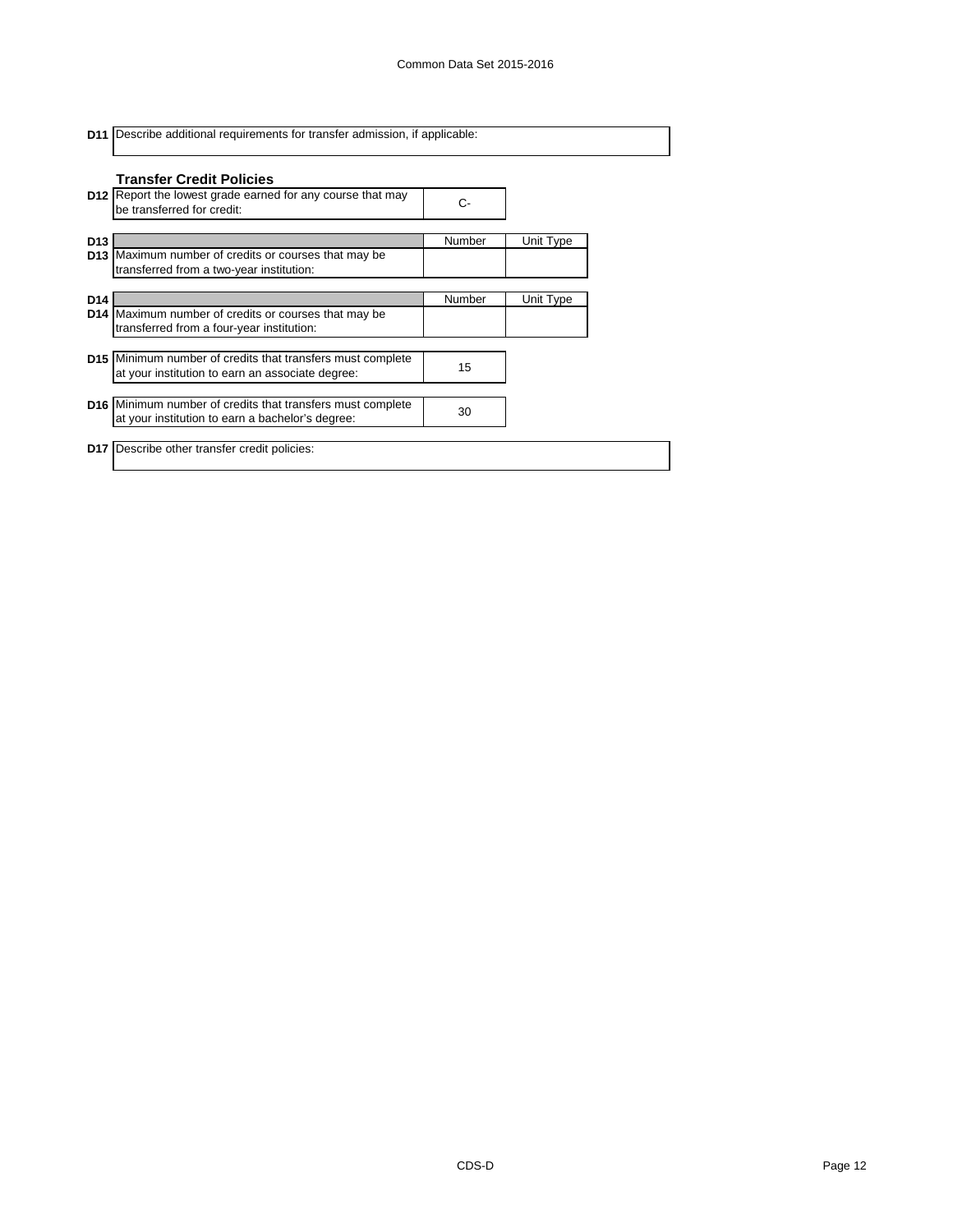|                 | <b>D11</b> Describe additional requirements for transfer admission, if applicable:                                    |        |           |  |  |
|-----------------|-----------------------------------------------------------------------------------------------------------------------|--------|-----------|--|--|
|                 | <b>Transfer Credit Policies</b>                                                                                       |        |           |  |  |
|                 | <b>D12</b> Report the lowest grade earned for any course that may<br>be transferred for credit:                       | C-     |           |  |  |
| D <sub>13</sub> |                                                                                                                       | Number | Unit Type |  |  |
|                 | D13 Maximum number of credits or courses that may be<br>transferred from a two-year institution:                      |        |           |  |  |
| D <sub>14</sub> |                                                                                                                       | Number | Unit Type |  |  |
| D <sub>14</sub> | Maximum number of credits or courses that may be<br>transferred from a four-year institution:                         |        |           |  |  |
|                 | <b>D15</b> Minimum number of credits that transfers must complete<br>at your institution to earn an associate degree: | 15     |           |  |  |
|                 | <b>D16</b> Minimum number of credits that transfers must complete<br>at your institution to earn a bachelor's degree: | 30     |           |  |  |
|                 | <b>D17</b> Describe other transfer credit policies:                                                                   |        |           |  |  |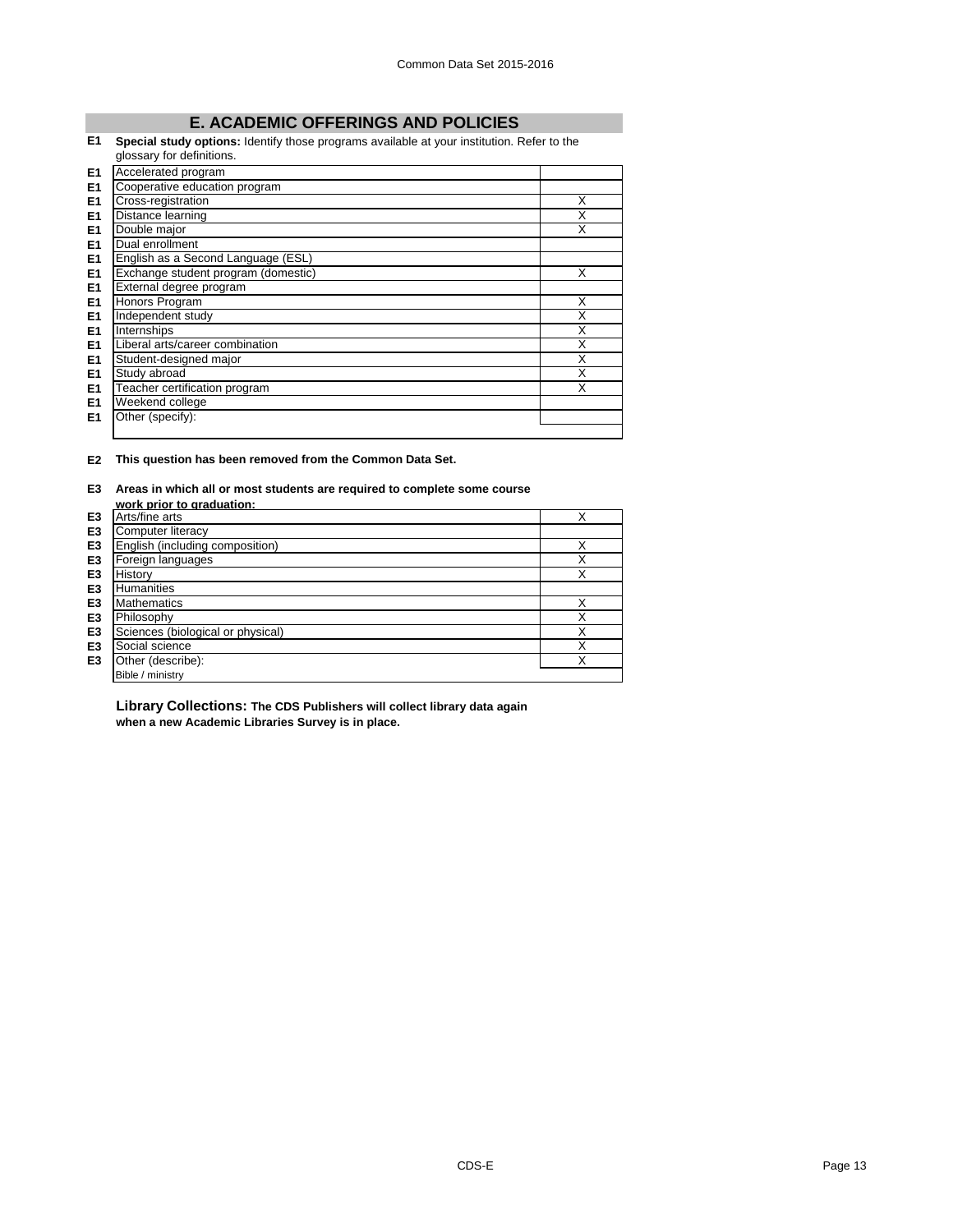# **E. ACADEMIC OFFERINGS AND POLICIES**

# **E1 Special study options:** Identify those programs available at your institution. Refer to the

|                | glossary for definitions.           |   |
|----------------|-------------------------------------|---|
| E <sub>1</sub> | Accelerated program                 |   |
| E <sub>1</sub> | Cooperative education program       |   |
| E <sub>1</sub> | Cross-registration                  | X |
| E <sub>1</sub> | Distance learning                   | Χ |
| E <sub>1</sub> | Double major                        | X |
| E <sub>1</sub> | Dual enrollment                     |   |
| E <sub>1</sub> | English as a Second Language (ESL)  |   |
| E <sub>1</sub> | Exchange student program (domestic) | X |
| E <sub>1</sub> | External degree program             |   |
| E <sub>1</sub> | Honors Program                      | X |
| E <sub>1</sub> | Independent study                   | Χ |
| E <sub>1</sub> | Internships                         | X |
| E <sub>1</sub> | Liberal arts/career combination     | X |
| E <sub>1</sub> | Student-designed major              | X |
| E <sub>1</sub> | Study abroad                        | X |
| E <sub>1</sub> | Teacher certification program       | X |
| E1             | Weekend college                     |   |
| E <sub>1</sub> | Other (specify):                    |   |
|                |                                     |   |

## **E2 This question has been removed from the Common Data Set.**

## **E3 Areas in which all or most students are required to complete some course**

|                | work prior to graduation:         |   |
|----------------|-----------------------------------|---|
| E <sub>3</sub> | Arts/fine arts                    | X |
| E <sub>3</sub> | Computer literacy                 |   |
| E <sub>3</sub> | English (including composition)   | X |
| E3             | Foreign languages                 | X |
| E <sub>3</sub> | History                           | X |
| E <sub>3</sub> | <b>Humanities</b>                 |   |
| E <sub>3</sub> | <b>Mathematics</b>                | X |
| E <sub>3</sub> | Philosophy                        | X |
| E <sub>3</sub> | Sciences (biological or physical) | X |
| E <sub>3</sub> | Social science                    | X |
| E <sub>3</sub> | Other (describe):                 | X |
|                | Bible / ministry                  |   |

**Library Collections: The CDS Publishers will collect library data again when a new Academic Libraries Survey is in place.**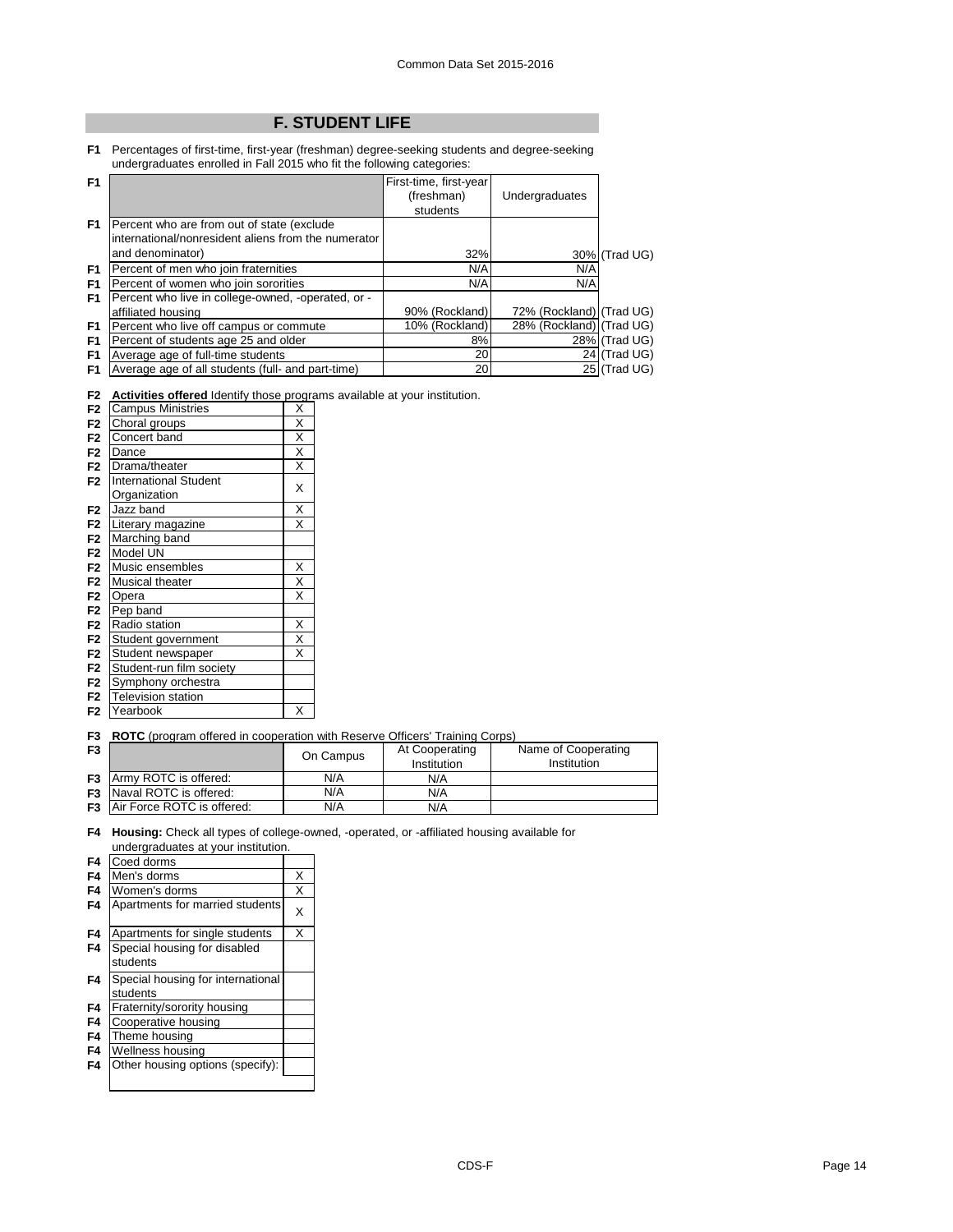# **F. STUDENT LIFE**

**F1** Percentages of first-time, first-year (freshman) degree-seeking students and degree-seeking undergraduates enrolled in Fall 2015 who fit the following categories:

| F1             |                                                     | First-time, first-year |                          |               |
|----------------|-----------------------------------------------------|------------------------|--------------------------|---------------|
|                |                                                     | (freshman)             | Undergraduates           |               |
|                |                                                     | students               |                          |               |
| F1             | Percent who are from out of state (exclude          |                        |                          |               |
|                | international/nonresident aliens from the numerator |                        |                          |               |
|                | and denominator)                                    | 32%                    |                          | 30% (Trad UG) |
| F <sub>1</sub> | Percent of men who join fraternities                | N/A                    | N/A                      |               |
| F <sub>1</sub> | Percent of women who join sororities                | N/A                    | N/A                      |               |
| F <sub>1</sub> | Percent who live in college-owned, -operated, or -  |                        |                          |               |
|                | affiliated housing                                  | 90% (Rockland)         | 72% (Rockland) (Trad UG) |               |
| F <sub>1</sub> | Percent who live off campus or commute              | 10% (Rockland)         | 28% (Rockland) (Trad UG) |               |
| F <sub>1</sub> | Percent of students age 25 and older                | 8%                     |                          | 28% (Trad UG) |
| F <sub>1</sub> | Average age of full-time students                   | 20                     |                          | 24 (Trad UG)  |
| F1             | Average age of all students (full- and part-time)   | 20                     |                          | 25 (Trad UG)  |

**F2 Activities offered** Identify those programs available at your institution.

| F <sub>2</sub> | <b>Campus Ministries</b>     | X                       |
|----------------|------------------------------|-------------------------|
| F <sub>2</sub> | Choral groups                | $\overline{\mathsf{x}}$ |
| F <sub>2</sub> | Concert band                 | $\overline{\mathsf{x}}$ |
| F <sub>2</sub> | Dance                        | $\overline{\mathsf{x}}$ |
| F <sub>2</sub> | Drama/theater                | $\overline{\mathsf{x}}$ |
| F <sub>2</sub> | <b>International Student</b> | X                       |
|                | Organization                 |                         |
| F <sub>2</sub> | Jazz band                    | $\overline{\mathsf{x}}$ |
| F <sub>2</sub> | Literary magazine            | X                       |
| F <sub>2</sub> | Marching band                |                         |
| F <sub>2</sub> | Model UN                     |                         |
| F <sub>2</sub> | Music ensembles              | Χ                       |
| F <sub>2</sub> | Musical theater              | $\overline{\mathsf{x}}$ |
| F <sub>2</sub> | Opera                        | X                       |
| F <sub>2</sub> | Pep band                     |                         |
| F <sub>2</sub> | Radio station                | Χ                       |
| F <sub>2</sub> | Student government           | $\overline{\mathsf{x}}$ |
| F <sub>2</sub> | Student newspaper            | X                       |
| F <sub>2</sub> | Student-run film society     |                         |
| F <sub>2</sub> | Symphony orchestra           |                         |
| F <sub>2</sub> | <b>Television station</b>    |                         |
| F <sub>2</sub> | Yearbook                     | X                       |

**F3 ROTC** (program offered in cooperation with Reserve Officers' Training Corps)

| F <sub>3</sub> |                                      | On Campus | At Cooperating<br>Institution | Name of Cooperating<br>Institution |
|----------------|--------------------------------------|-----------|-------------------------------|------------------------------------|
|                | <b>F3</b> Army ROTC is offered:      | N/A       | N/A                           |                                    |
|                | <b>F3</b> Naval ROTC is offered:     | N/A       | N/A                           |                                    |
|                | <b>F3</b> Air Force ROTC is offered: | N/A       | N/A                           |                                    |

**F4 Housing:** Check all types of college-owned, -operated, or -affiliated housing available for undergraduates at your institution.

| F4 | Coed dorms                        |   |
|----|-----------------------------------|---|
| F4 | Men's dorms                       | X |
| F4 | Women's dorms                     | X |
| F4 | Apartments for married students   | X |
| F4 | Apartments for single students    | X |
| F4 | Special housing for disabled      |   |
|    | students                          |   |
| F4 | Special housing for international |   |
|    | students                          |   |
| F4 | Fraternity/sorority housing       |   |
| F4 | Cooperative housing               |   |
| F4 | Theme housing                     |   |
| F4 | Wellness housing                  |   |
| F4 | Other housing options (specify):  |   |
|    |                                   |   |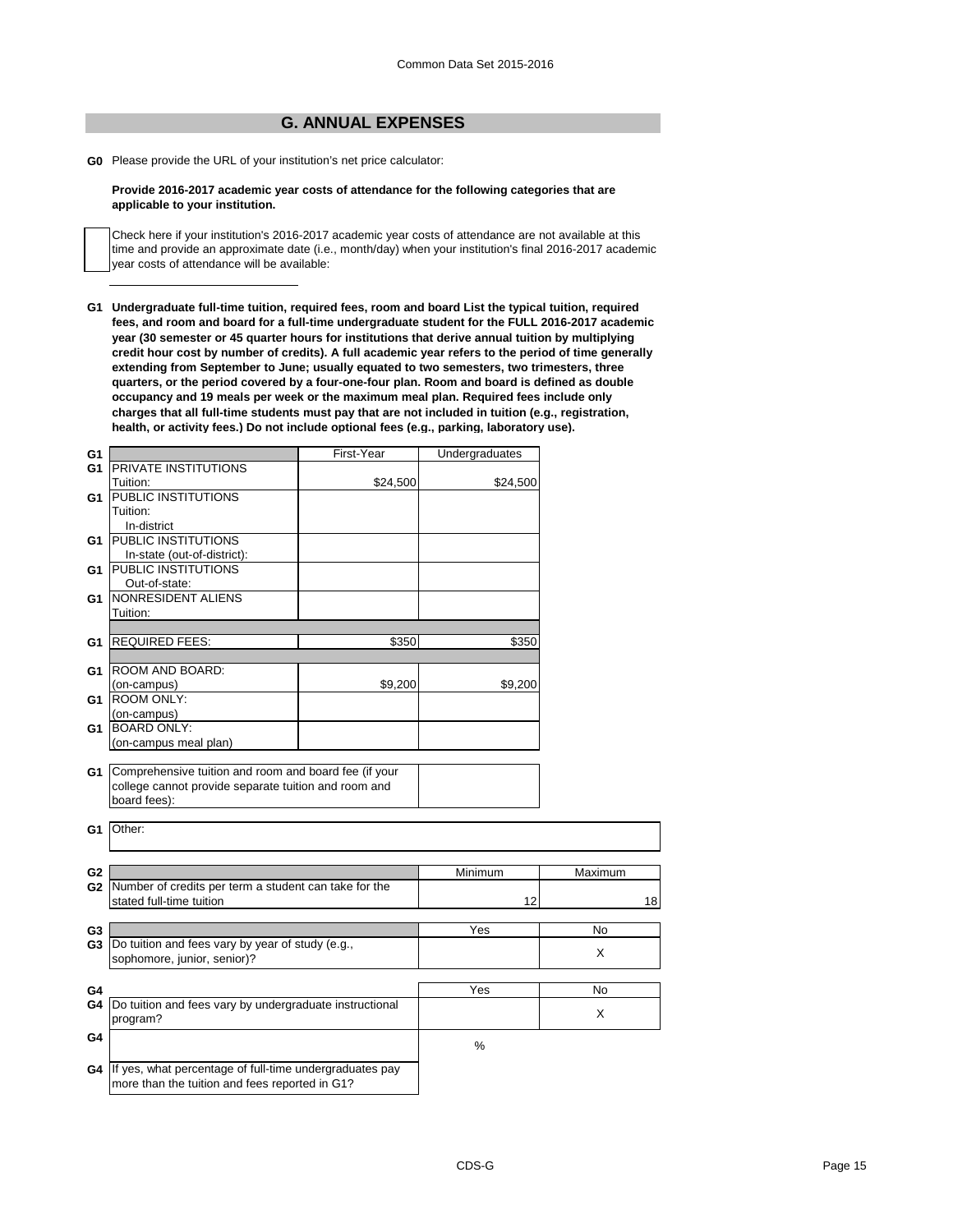# **G. ANNUAL EXPENSES**

**G0** Please provide the URL of your institution's net price calculator:

#### **Provide 2016-2017 academic year costs of attendance for the following categories that are applicable to your institution.**

Check here if your institution's 2016-2017 academic year costs of attendance are not available at this time and provide an approximate date (i.e., month/day) when your institution's final 2016-2017 academic year costs of attendance will be available:

**G1 Undergraduate full-time tuition, required fees, room and board List the typical tuition, required fees, and room and board for a full-time undergraduate student for the FULL 2016-2017 academic year (30 semester or 45 quarter hours for institutions that derive annual tuition by multiplying credit hour cost by number of credits). A full academic year refers to the period of time generally extending from September to June; usually equated to two semesters, two trimesters, three quarters, or the period covered by a four-one-four plan. Room and board is defined as double occupancy and 19 meals per week or the maximum meal plan. Required fees include only charges that all full-time students must pay that are not included in tuition (e.g., registration, health, or activity fees.) Do not include optional fees (e.g., parking, laboratory use).**

| G1             |                                                                                                               | First-Year | Undergraduates |         |
|----------------|---------------------------------------------------------------------------------------------------------------|------------|----------------|---------|
| G1             | <b>PRIVATE INSTITUTIONS</b>                                                                                   |            |                |         |
|                | Tuition:                                                                                                      | \$24,500   | \$24,500       |         |
| G1             | PUBLIC INSTITUTIONS                                                                                           |            |                |         |
|                | Tuition:                                                                                                      |            |                |         |
|                | In-district                                                                                                   |            |                |         |
| G1             | <b>PUBLIC INSTITUTIONS</b>                                                                                    |            |                |         |
|                | In-state (out-of-district):                                                                                   |            |                |         |
| G1             | <b>PUBLIC INSTITUTIONS</b>                                                                                    |            |                |         |
|                | Out-of-state:                                                                                                 |            |                |         |
| G1             | NONRESIDENT ALIENS                                                                                            |            |                |         |
|                | Tuition:                                                                                                      |            |                |         |
|                |                                                                                                               |            |                |         |
|                | <b>G1 REQUIRED FEES:</b>                                                                                      | \$350      | \$350          |         |
|                |                                                                                                               |            |                |         |
| G1.            | <b>ROOM AND BOARD:</b>                                                                                        |            |                |         |
|                | (on-campus)                                                                                                   | \$9,200    | \$9,200        |         |
| G1             | <b>ROOM ONLY:</b>                                                                                             |            |                |         |
|                | (on-campus)                                                                                                   |            |                |         |
| G1             | <b>BOARD ONLY:</b>                                                                                            |            |                |         |
|                | (on-campus meal plan)                                                                                         |            |                |         |
|                |                                                                                                               |            |                |         |
| G1             | Comprehensive tuition and room and board fee (if your<br>college cannot provide separate tuition and room and |            |                |         |
|                | board fees):                                                                                                  |            |                |         |
|                |                                                                                                               |            |                |         |
| G1             | Other:                                                                                                        |            |                |         |
|                |                                                                                                               |            |                |         |
|                |                                                                                                               |            |                |         |
| G <sub>2</sub> |                                                                                                               |            | Minimum        | Maximum |
|                | G2 Number of credits per term a student can take for the                                                      |            |                |         |
|                | stated full-time tuition                                                                                      |            | 12             | 18      |
|                |                                                                                                               |            |                |         |
| G <sub>3</sub> |                                                                                                               |            | Yes            | No      |
| G3             | Do tuition and fees vary by year of study (e.g.,                                                              |            |                |         |
|                | sophomore, junior, senior)?                                                                                   |            |                | X       |
|                |                                                                                                               |            |                |         |
| G4             |                                                                                                               |            | Yes            | No      |
| G4             | Do tuition and fees vary by undergraduate instructional                                                       |            |                |         |
|                | program?                                                                                                      |            |                | X       |
|                |                                                                                                               |            |                |         |
| G4             |                                                                                                               |            | $\%$           |         |
|                |                                                                                                               |            |                |         |
|                | G4 If yes, what percentage of full-time undergraduates pay                                                    |            |                |         |
|                | more than the tuition and fees reported in G1?                                                                |            |                |         |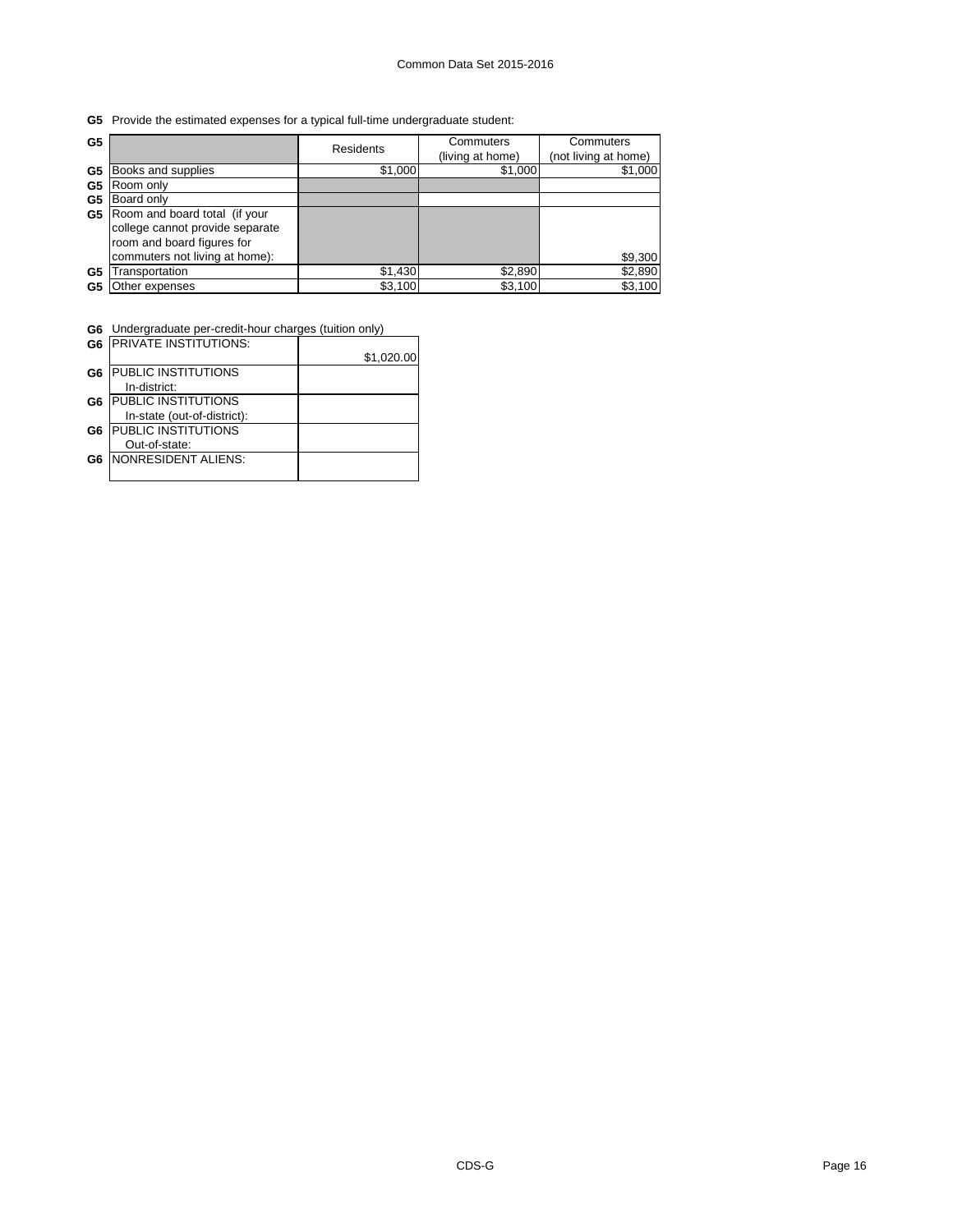# **G5** Provide the estimated expenses for a typical full-time undergraduate student:

| G5 |                                                                                                                                  | Residents | Commuters<br>(living at home) | Commuters<br>(not living at home) |
|----|----------------------------------------------------------------------------------------------------------------------------------|-----------|-------------------------------|-----------------------------------|
| G5 | Books and supplies                                                                                                               | \$1,000   | \$1,000                       | \$1,000                           |
| G5 | Room only                                                                                                                        |           |                               |                                   |
| G5 | Board only                                                                                                                       |           |                               |                                   |
| G5 | Room and board total (if your<br>college cannot provide separate<br>room and board figures for<br>commuters not living at home): |           |                               | \$9,300                           |
| G5 | Transportation                                                                                                                   | \$1,430   | \$2,890                       | \$2,890                           |
| G5 | Other expenses                                                                                                                   | \$3,100   | \$3,100                       | \$3,100                           |

**G6** Undergraduate per-credit-hour charges (tuition only)

|                | <b>G6 IPRIVATE INSTITUTIONS:</b> |            |
|----------------|----------------------------------|------------|
|                |                                  | \$1,020.00 |
| G <sub>6</sub> | <b>PUBLIC INSTITUTIONS</b>       |            |
|                | In-district:                     |            |
| G6             | <b>PUBLIC INSTITUTIONS</b>       |            |
|                | In-state (out-of-district):      |            |
| G <sub>6</sub> | <b>PUBLIC INSTITUTIONS</b>       |            |
|                | Out-of-state:                    |            |
| G6             | NONRESIDENT ALIENS:              |            |
|                |                                  |            |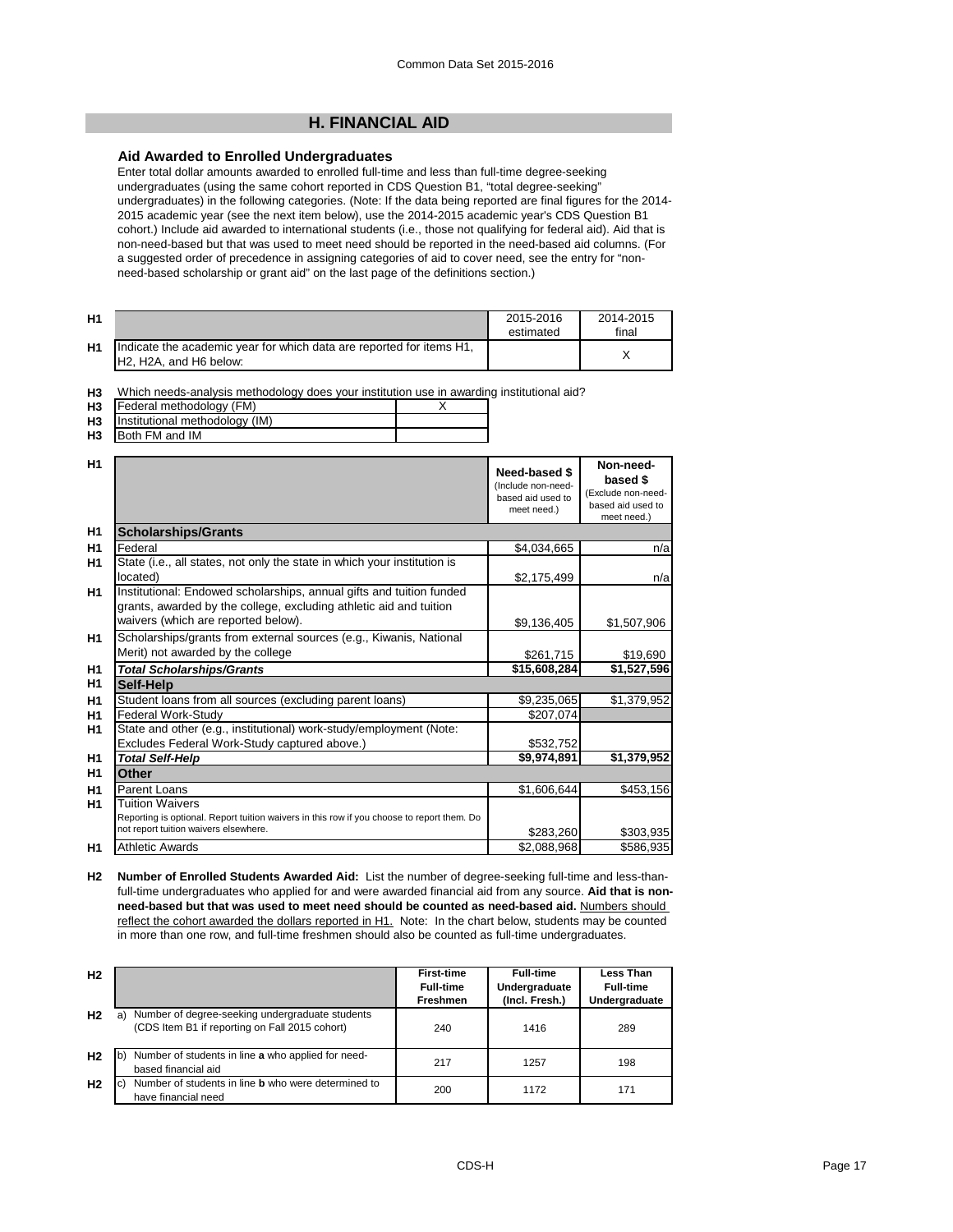# **H. FINANCIAL AID**

# **Aid Awarded to Enrolled Undergraduates**

Enter total dollar amounts awarded to enrolled full-time and less than full-time degree-seeking undergraduates (using the same cohort reported in CDS Question B1, "total degree-seeking" undergraduates) in the following categories. (Note: If the data being reported are final figures for the 2014- 2015 academic year (see the next item below), use the 2014-2015 academic year's CDS Question B1 cohort.) Include aid awarded to international students (i.e., those not qualifying for federal aid). Aid that is non-need-based but that was used to meet need should be reported in the need-based aid columns. (For a suggested order of precedence in assigning categories of aid to cover need, see the entry for "nonneed-based scholarship or grant aid" on the last page of the definitions section.)

| H <sub>1</sub> |                                                                                                                                      | 2015-2016<br>estimated | 2014-2015<br>final |
|----------------|--------------------------------------------------------------------------------------------------------------------------------------|------------------------|--------------------|
| H1             | Indicate the academic year for which data are reported for items H1,<br>H <sub>2</sub> , H <sub>2</sub> A, and H <sub>6</sub> below: |                        |                    |

**H3** Which needs-analysis methodology does your institution use in awarding institutional aid?

| H <sub>3</sub> | Federal methodology (FM)          |  |
|----------------|-----------------------------------|--|
|                | H3 Institutional methodology (IM) |  |
| H٩             | <b>Both FM and IM</b>             |  |

| H <sub>3</sub> | Both FM and IM |
|----------------|----------------|
|                |                |

| H1             |                                                                                                                                            | Need-based \$<br>(Include non-need-<br>based aid used to<br>meet need.) | Non-need-<br>based \$<br>(Exclude non-need-<br>based aid used to<br>meet need.) |
|----------------|--------------------------------------------------------------------------------------------------------------------------------------------|-------------------------------------------------------------------------|---------------------------------------------------------------------------------|
| H1             | <b>Scholarships/Grants</b>                                                                                                                 |                                                                         |                                                                                 |
| H1             | Federal                                                                                                                                    | \$4,034,665                                                             | n/a                                                                             |
| H1             | State (i.e., all states, not only the state in which your institution is                                                                   |                                                                         |                                                                                 |
|                | located)                                                                                                                                   | \$2,175,499                                                             | n/a                                                                             |
| H1             | Institutional: Endowed scholarships, annual gifts and tuition funded<br>grants, awarded by the college, excluding athletic aid and tuition |                                                                         |                                                                                 |
|                | waivers (which are reported below).                                                                                                        | \$9,136,405                                                             | \$1,507,906                                                                     |
| H1             | Scholarships/grants from external sources (e.g., Kiwanis, National                                                                         |                                                                         |                                                                                 |
|                | Merit) not awarded by the college                                                                                                          | \$261,715                                                               | \$19,690                                                                        |
| H1             | <b>Total Scholarships/Grants</b>                                                                                                           | \$15,608,284                                                            | \$1,527,596                                                                     |
| H1             | Self-Help                                                                                                                                  |                                                                         |                                                                                 |
| H1             | Student loans from all sources (excluding parent loans)                                                                                    | \$9,235,065                                                             | \$1,379,952                                                                     |
| H1             | Federal Work-Study                                                                                                                         | \$207,074                                                               |                                                                                 |
| H1             | State and other (e.g., institutional) work-study/employment (Note:                                                                         |                                                                         |                                                                                 |
|                | Excludes Federal Work-Study captured above.)                                                                                               | \$532,752                                                               |                                                                                 |
| H1             | <b>Total Self-Help</b>                                                                                                                     | \$9,974,891                                                             | \$1,379,952                                                                     |
| H <sub>1</sub> | Other                                                                                                                                      |                                                                         |                                                                                 |
| H1             | Parent Loans                                                                                                                               | \$1,606,644                                                             | \$453,156                                                                       |
| H1             | <b>Tuition Waivers</b><br>Reporting is optional. Report tuition waivers in this row if you choose to report them. Do                       |                                                                         |                                                                                 |
|                | not report tuition waivers elsewhere.                                                                                                      | \$283,260                                                               | \$303,935                                                                       |
| H1             | <b>Athletic Awards</b>                                                                                                                     | \$2,088,968                                                             | \$586,935                                                                       |

**H2 Number of Enrolled Students Awarded Aid:** List the number of degree-seeking full-time and less-thanfull-time undergraduates who applied for and were awarded financial aid from any source. **Aid that is nonneed-based but that was used to meet need should be counted as need-based aid.** Numbers should reflect the cohort awarded the dollars reported in H1. Note: In the chart below, students may be counted in more than one row, and full-time freshmen should also be counted as full-time undergraduates.

| H <sub>2</sub> |                                                                                                         | <b>First-time</b><br><b>Full-time</b> | <b>Full-time</b><br>Undergraduate | Less Than<br><b>Full-time</b> |
|----------------|---------------------------------------------------------------------------------------------------------|---------------------------------------|-----------------------------------|-------------------------------|
|                |                                                                                                         | <b>Freshmen</b>                       | (Incl. Fresh.)                    | Undergraduate                 |
| H <sub>2</sub> | Number of degree-seeking undergraduate students<br>a)<br>(CDS Item B1 if reporting on Fall 2015 cohort) | 240                                   | 1416                              | 289                           |
| H <sub>2</sub> | $\mathsf{b}$<br>Number of students in line a who applied for need-<br>based financial aid               | 217                                   | 1257                              | 198                           |
| H <sub>2</sub> | Number of students in line <b>b</b> who were determined to<br>C)<br>have financial need                 | 200                                   | 1172                              | 171                           |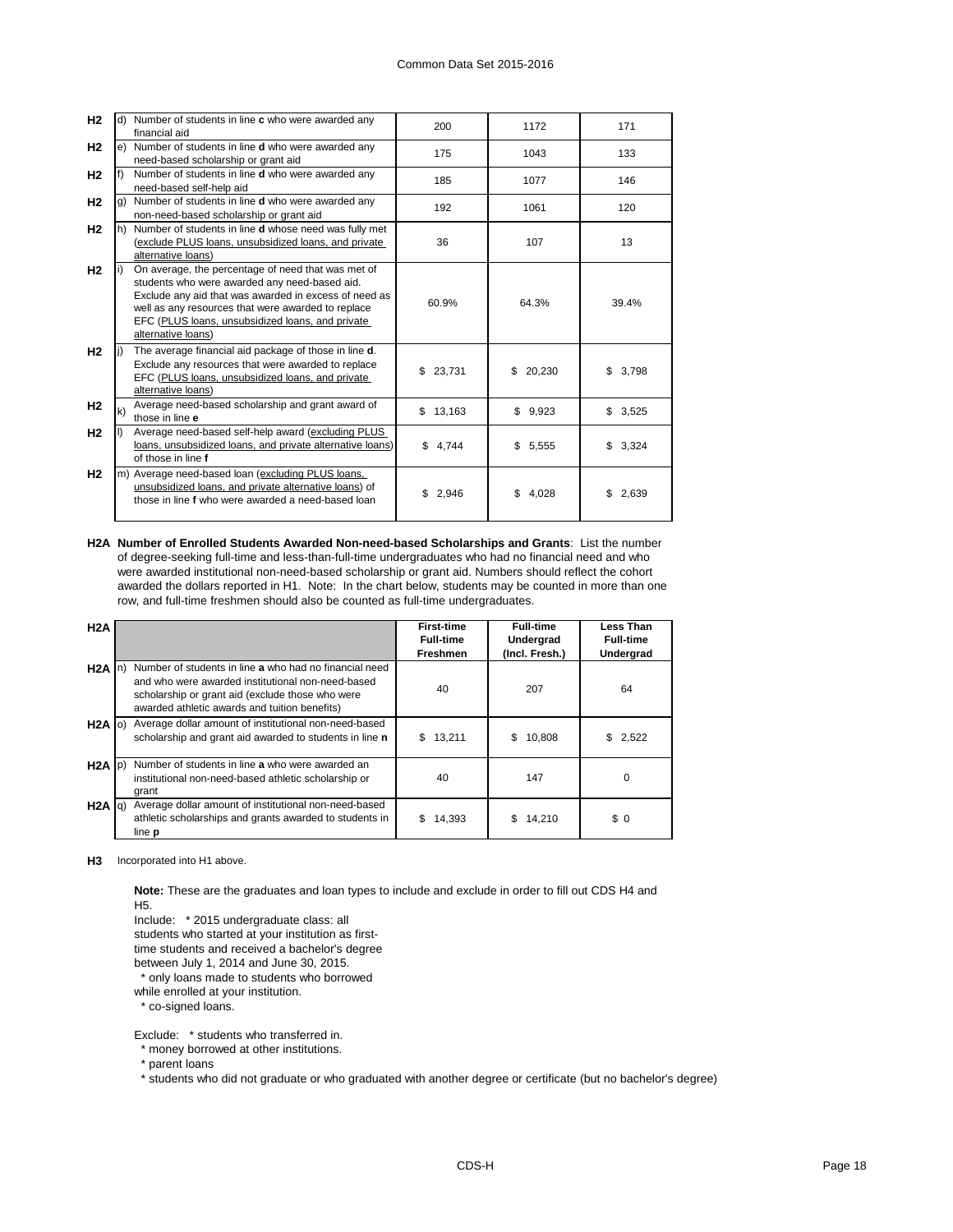| H <sub>2</sub> |     | d) Number of students in line c who were awarded any<br>financial aid                                                                                                                                                                                                                        | 200         | 1172         | 171          |
|----------------|-----|----------------------------------------------------------------------------------------------------------------------------------------------------------------------------------------------------------------------------------------------------------------------------------------------|-------------|--------------|--------------|
| H <sub>2</sub> |     | e) Number of students in line <b>d</b> who were awarded any<br>need-based scholarship or grant aid                                                                                                                                                                                           | 175         | 1043         | 133          |
| H <sub>2</sub> |     | Number of students in line <b>d</b> who were awarded any<br>need-based self-help aid                                                                                                                                                                                                         | 185         | 1077         | 146          |
| H <sub>2</sub> | g)  | Number of students in line <b>d</b> who were awarded any<br>non-need-based scholarship or grant aid                                                                                                                                                                                          | 192         | 1061         | 120          |
| H <sub>2</sub> | lh) | Number of students in line d whose need was fully met<br>(exclude PLUS loans, unsubsidized loans, and private<br>alternative loans)                                                                                                                                                          | 36          | 107          | 13           |
| H <sub>2</sub> |     | On average, the percentage of need that was met of<br>students who were awarded any need-based aid.<br>Exclude any aid that was awarded in excess of need as<br>well as any resources that were awarded to replace<br>EFC (PLUS loans, unsubsidized loans, and private<br>alternative loans) | 60.9%       | 64.3%        | 39.4%        |
| H <sub>2</sub> |     | The average financial aid package of those in line d.<br>Exclude any resources that were awarded to replace<br>EFC (PLUS loans, unsubsidized loans, and private<br>alternative loans)                                                                                                        | \$23,731    | \$<br>20,230 | 3,798<br>\$. |
| H <sub>2</sub> | k)  | Average need-based scholarship and grant award of<br>those in line e                                                                                                                                                                                                                         | \$13,163    | \$9,923      | \$3,525      |
| H <sub>2</sub> |     | Average need-based self-help award (excluding PLUS<br>loans, unsubsidized loans, and private alternative loans)<br>of those in line f                                                                                                                                                        | \$4,744     | \$5,555      | 3,324<br>\$  |
| H <sub>2</sub> |     | m) Average need-based loan (excluding PLUS loans,<br>unsubsidized loans, and private alternative loans) of<br>those in line f who were awarded a need-based loan                                                                                                                             | \$<br>2,946 | \$.<br>4.028 | 2,639<br>\$  |

**H2A Number of Enrolled Students Awarded Non-need-based Scholarships and Grants**: List the number of degree-seeking full-time and less-than-full-time undergraduates who had no financial need and who were awarded institutional non-need-based scholarship or grant aid. Numbers should reflect the cohort awarded the dollars reported in H1. Note: In the chart below, students may be counted in more than one row, and full-time freshmen should also be counted as full-time undergraduates.

| H2A               |                                                                                                                                                                                                                  | <b>First-time</b><br><b>Full-time</b><br><b>Freshmen</b> | <b>Full-time</b><br>Undergrad<br>(Incl. Fresh.) | Less Than<br><b>Full-time</b><br>Undergrad |
|-------------------|------------------------------------------------------------------------------------------------------------------------------------------------------------------------------------------------------------------|----------------------------------------------------------|-------------------------------------------------|--------------------------------------------|
| $H2A$ In          | Number of students in line a who had no financial need<br>and who were awarded institutional non-need-based<br>scholarship or grant aid (exclude those who were<br>awarded athletic awards and tuition benefits) | 40                                                       | 207                                             | 64                                         |
| $H2A$ (0)         | Average dollar amount of institutional non-need-based<br>scholarship and grant aid awarded to students in line n                                                                                                 | 13,211<br>S.                                             | 10,808<br>\$.                                   | 2,522<br>\$.                               |
| $H2A$ $ p\rangle$ | Number of students in line a who were awarded an<br>institutional non-need-based athletic scholarship or<br>grant                                                                                                | 40                                                       | 147                                             | $\Omega$                                   |
| H2A  q            | Average dollar amount of institutional non-need-based<br>athletic scholarships and grants awarded to students in<br>line p                                                                                       | 14,393                                                   | 14.210                                          | \$0                                        |

**H3** Incorporated into H1 above.

**Note:** These are the graduates and loan types to include and exclude in order to fill out CDS H4 and H5.

Include: \* 2015 undergraduate class: all

students who started at your institution as first-

time students and received a bachelor's degree

between July 1, 2014 and June 30, 2015.

only loans made to students who borrowed

while enrolled at your institution.

\* co-signed loans.

Exclude: \* students who transferred in.

\* money borrowed at other institutions.

\* parent loans

\* students who did not graduate or who graduated with another degree or certificate (but no bachelor's degree)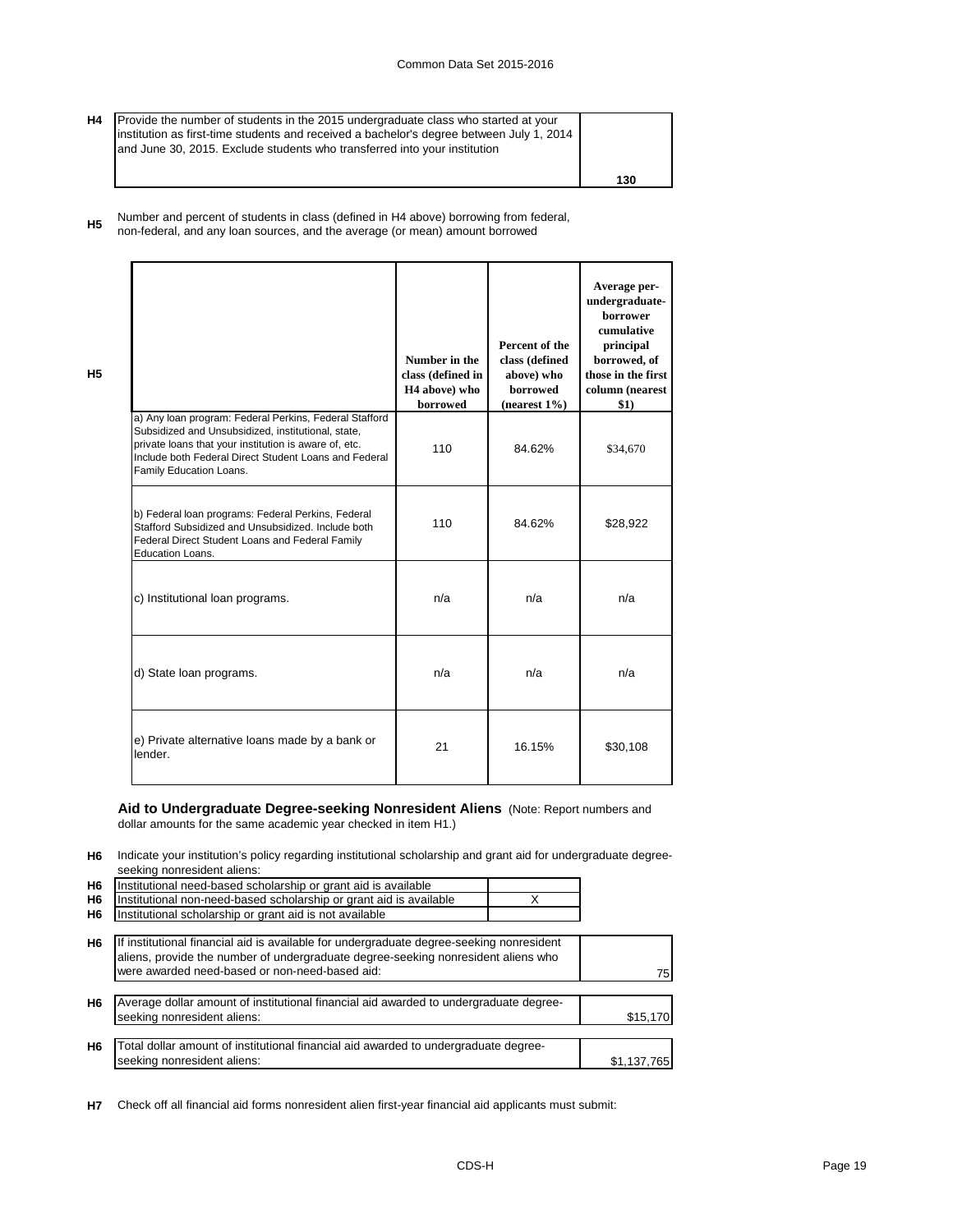**H4** Provide the number of students in the 2015 undergraduate class who started at your institution as first-time students and received a bachelor's degree between July 1, 2014 and June 30, 2015. Exclude students who transferred into your institution

**H5**

**130**

**H5** Number and percent of students in class (defined in H4 above) borrowing from federal, non-federal, and any loan sources, and the average (or mean) amount borrowed

|                                                                                                                                                                                                                                                           | Number in the<br>class (defined in<br>H <sub>4</sub> above) who<br>borrowed | Percent of the<br>class (defined<br>above) who<br>borrowed<br>$(nearest 1\%)$ | Average per-<br>undergraduate-<br><b>borrower</b><br>cumulative<br>principal<br>borrowed, of<br>those in the first<br>column (nearest<br>\$1) |
|-----------------------------------------------------------------------------------------------------------------------------------------------------------------------------------------------------------------------------------------------------------|-----------------------------------------------------------------------------|-------------------------------------------------------------------------------|-----------------------------------------------------------------------------------------------------------------------------------------------|
| a) Any loan program: Federal Perkins, Federal Stafford<br>Subsidized and Unsubsidized, institutional, state,<br>private loans that your institution is aware of, etc.<br>Include both Federal Direct Student Loans and Federal<br>Family Education Loans. | 110                                                                         | 84.62%                                                                        | \$34,670                                                                                                                                      |
| b) Federal loan programs: Federal Perkins, Federal<br>Stafford Subsidized and Unsubsidized, Include both<br>Federal Direct Student Loans and Federal Family<br><b>Education Loans.</b>                                                                    | 110                                                                         | 84.62%                                                                        | \$28,922                                                                                                                                      |
| c) Institutional loan programs.                                                                                                                                                                                                                           | n/a                                                                         | n/a                                                                           | n/a                                                                                                                                           |
| d) State loan programs.                                                                                                                                                                                                                                   | n/a                                                                         | n/a                                                                           | n/a                                                                                                                                           |
| e) Private alternative loans made by a bank or<br>lender.                                                                                                                                                                                                 | 21                                                                          | 16.15%                                                                        | \$30,108                                                                                                                                      |

## **Aid to Undergraduate Degree-seeking Nonresident Aliens** (Note: Report numbers and dollar amounts for the same academic year checked in item H1.)

**H6** Indicate your institution's policy regarding institutional scholarship and grant aid for undergraduate degreeseeking nonresident aliens:

| H6             | Institutional need-based scholarship or grant aid is available                                                                                                                                                                  |             |
|----------------|---------------------------------------------------------------------------------------------------------------------------------------------------------------------------------------------------------------------------------|-------------|
| H <sub>6</sub> | Institutional non-need-based scholarship or grant aid is available                                                                                                                                                              |             |
| H <sub>6</sub> | Institutional scholarship or grant aid is not available                                                                                                                                                                         |             |
| H <sub>6</sub> | If institutional financial aid is available for undergraduate degree-seeking nonresident<br>aliens, provide the number of undergraduate degree-seeking nonresident aliens who<br>were awarded need-based or non-need-based aid: | 75 I        |
| H <sub>6</sub> | Average dollar amount of institutional financial aid awarded to undergraduate degree-<br>seeking nonresident aliens:                                                                                                            | \$15,170    |
| H <sub>6</sub> | Total dollar amount of institutional financial aid awarded to undergraduate degree-<br>seeking nonresident aliens:                                                                                                              | \$1,137,765 |

**H7** Check off all financial aid forms nonresident alien first-year financial aid applicants must submit: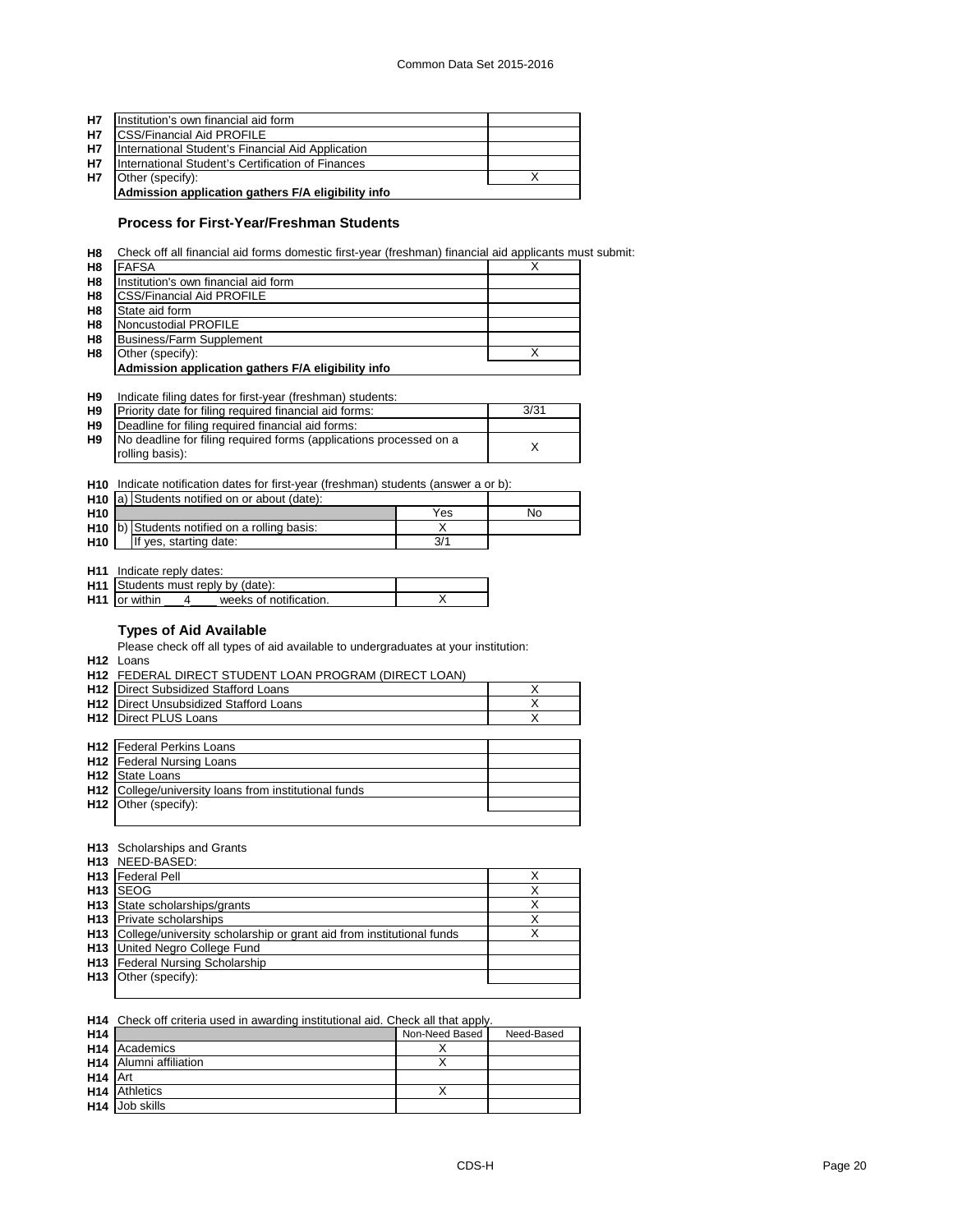| <b>H7</b> | Institution's own financial aid form               |  |
|-----------|----------------------------------------------------|--|
| <b>H7</b> | <b>ICSS/Financial Aid PROFILE</b>                  |  |
| <b>H7</b> | International Student's Financial Aid Application  |  |
| <b>H7</b> | International Student's Certification of Finances  |  |
| <b>H7</b> | Other (specify):                                   |  |
|           | Admission application gathers F/A eligibility info |  |

## **Process for First-Year/Freshman Students**

**H8** Check off all financial aid forms domestic first-year (freshman) financial aid applicants must submit:

| H <sub>8</sub> | <b>FAFSA</b>                                       |  |
|----------------|----------------------------------------------------|--|
| H <sub>8</sub> | Institution's own financial aid form               |  |
| H8             | <b>CSS/Financial Aid PROFILE</b>                   |  |
| H <sub>8</sub> | State aid form                                     |  |
| H <sub>8</sub> | Noncustodial PROFILE                               |  |
| H <sub>8</sub> | Business/Farm Supplement                           |  |
| H <sub>8</sub> | Other (specify):                                   |  |
|                | Admission application gathers F/A eligibility info |  |

# **H9** Indicate filing dates for first-year (freshman) students:

| H <sub>9</sub> | Priority date for filing required financial aid forms:             | 3/31 |
|----------------|--------------------------------------------------------------------|------|
| H <sub>9</sub> | Deadline for filing required financial aid forms:                  |      |
| H <sub>9</sub> | No deadline for filing required forms (applications processed on a |      |
|                | rolling basis):                                                    |      |

#### **H10** Indicate notification dates for first-year (freshman) students (answer a or b):

|                 | H <sub>10</sub> a) Students notified on or about (date): |     |    |
|-----------------|----------------------------------------------------------|-----|----|
| H <sub>10</sub> |                                                          | Yes | No |
|                 | H <sub>10</sub> b) Students notified on a rolling basis: |     |    |
| H <sub>10</sub> | If yes, starting date:                                   | 3/1 |    |

**H11** Indicate reply dates:

| H <sub>11</sub> Students must reply by (date): |  |
|------------------------------------------------|--|
| <b>H11</b> or within<br>weeks of notification. |  |

# **Types of Aid Available**

Please check off all types of aid available to undergraduates at your institution:

**H12** Loans

| <b>H12 FEDERAL DIRECT STUDENT LOAN PROGRAM (DIRECT LOAN)</b> |  |
|--------------------------------------------------------------|--|
| <b>H12</b> Direct Subsidized Stafford Loans                  |  |
| <b>H12</b> Direct Unsubsidized Stafford Loans                |  |
| <b>H12</b> Direct PLUS Loans                                 |  |
|                                                              |  |
| <b>H12</b> Federal Perkins Loans                             |  |
|                                                              |  |
| <b>H12</b> Federal Nursing Loans                             |  |
| <b>H12</b> State Loans                                       |  |
| <b>H12</b> College/university loans from institutional funds |  |
| H12 Other (specify):                                         |  |

#### **H13** Scholarships and Grants

| <b>H13 NEED-BASED:</b>                                                   |   |
|--------------------------------------------------------------------------|---|
| <b>H13</b> Federal Pell                                                  |   |
| H <sub>13</sub> SEOG                                                     | Х |
| H <sub>13</sub> State scholarships/grants                                | Χ |
| <b>H13</b> Private scholarships                                          | х |
| H13 College/university scholarship or grant aid from institutional funds | Х |
| <b>H13</b> United Negro College Fund                                     |   |
| H13 Federal Nursing Scholarship                                          |   |
| H <sub>13</sub>   Other (specify):                                       |   |
|                                                                          |   |

#### **H14** Check off criteria used in awarding institutional aid. Check all that apply.

| H <sub>14</sub>     |                                    | Non-Need Based | Need-Based |
|---------------------|------------------------------------|----------------|------------|
|                     | H <sub>14</sub> Academics          |                |            |
|                     | H <sub>14</sub> Alumni affiliation |                |            |
| H <sub>14</sub> Art |                                    |                |            |
|                     | H <sub>14</sub> Athletics          |                |            |
|                     | H <sub>14</sub> Job skills         |                |            |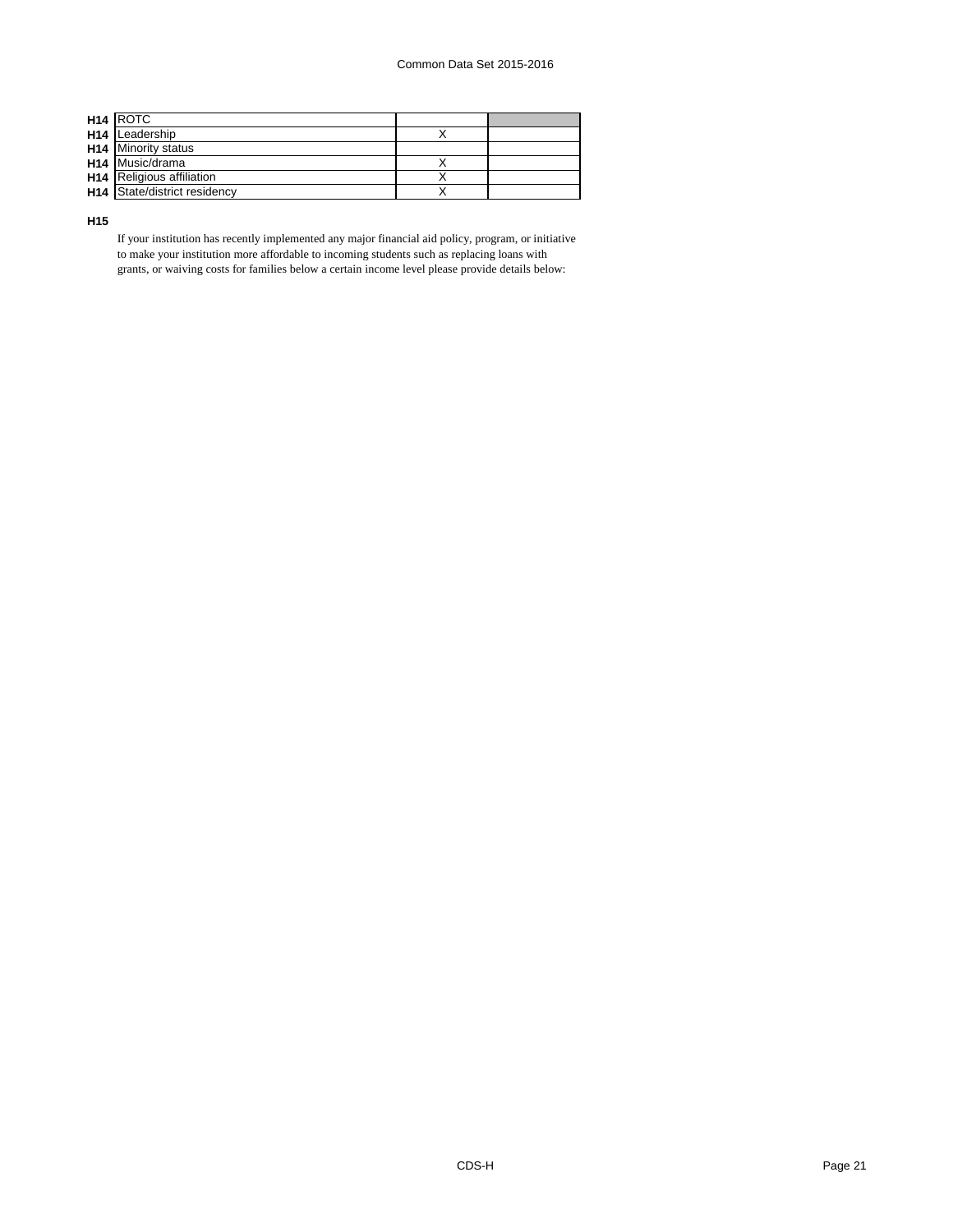| H <sub>14</sub> ROTC             |  |
|----------------------------------|--|
| H <sub>14</sub> Leadership       |  |
| <b>H14</b> Minority status       |  |
| H <sub>14</sub> Music/drama      |  |
| <b>H14</b> Religious affiliation |  |
| H14 State/district residency     |  |

**H15**

If your institution has recently implemented any major financial aid policy, program, or initiative to make your institution more affordable to incoming students such as replacing loans with grants, or waiving costs for families below a certain income level please provide details below: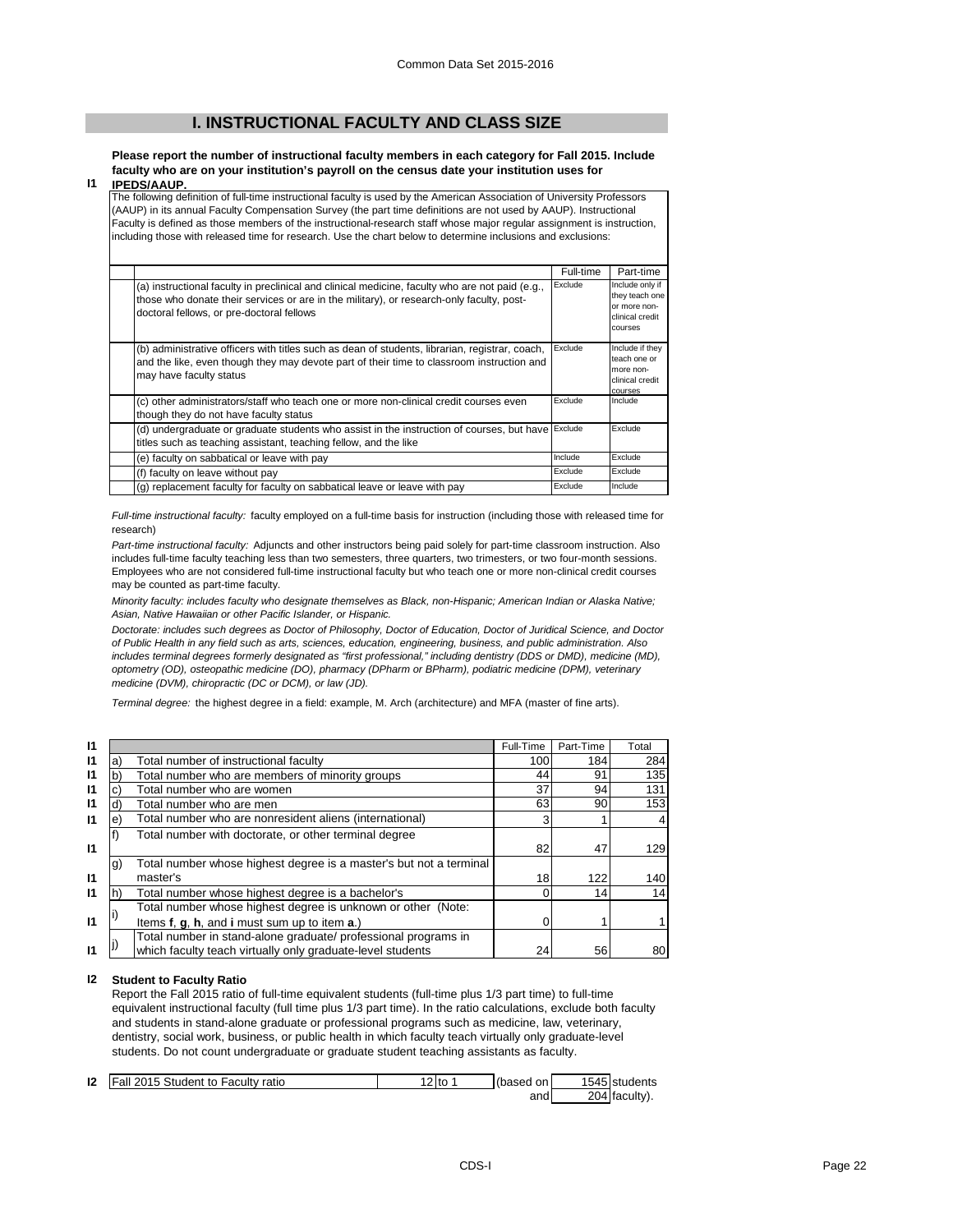# **I. INSTRUCTIONAL FACULTY AND CLASS SIZE**

**Please report the number of instructional faculty members in each category for Fall 2015. Include faculty who are on your institution's payroll on the census date your institution uses for IPEDS/AAUP.**

## **I1**

The following definition of full-time instructional faculty is used by the American Association of University Professors (AAUP) in its annual Faculty Compensation Survey (the part time definitions are not used by AAUP). Instructional Faculty is defined as those members of the instructional-research staff whose major regular assignment is instruction, including those with released time for research. Use the chart below to determine inclusions and exclusions:

|                                                                                                                                                                                                                                          | Full-time | Part-time                                                                       |
|------------------------------------------------------------------------------------------------------------------------------------------------------------------------------------------------------------------------------------------|-----------|---------------------------------------------------------------------------------|
| (a) instructional faculty in preclinical and clinical medicine, faculty who are not paid (e.g.,<br>those who donate their services or are in the military), or research-only faculty, post-<br>doctoral fellows, or pre-doctoral fellows | Exclude   | Include only if<br>they teach one<br>or more non-<br>clinical credit<br>courses |
| (b) administrative officers with titles such as dean of students, librarian, registrar, coach,<br>and the like, even though they may devote part of their time to classroom instruction and<br>may have faculty status                   | Exclude   | Include if they<br>teach one or<br>more non-<br>clinical credit<br>courses      |
| (c) other administrators/staff who teach one or more non-clinical credit courses even<br>though they do not have faculty status                                                                                                          | Exclude   | Include                                                                         |
| (d) undergraduate or graduate students who assist in the instruction of courses, but have Exclude<br>titles such as teaching assistant, teaching fellow, and the like                                                                    |           | Exclude                                                                         |
| (e) faculty on sabbatical or leave with pay                                                                                                                                                                                              | Include   | Exclude                                                                         |
| (f) faculty on leave without pay                                                                                                                                                                                                         | Exclude   | Exclude                                                                         |
| (g) replacement faculty for faculty on sabbatical leave or leave with pay                                                                                                                                                                | Exclude   | Include                                                                         |

*Full-time instructional faculty:* faculty employed on a full-time basis for instruction (including those with released time for research)

*Part-time instructional faculty:* Adjuncts and other instructors being paid solely for part-time classroom instruction. Also includes full-time faculty teaching less than two semesters, three quarters, two trimesters, or two four-month sessions. Employees who are not considered full-time instructional faculty but who teach one or more non-clinical credit courses may be counted as part-time faculty.

*Minority faculty: includes faculty who designate themselves as Black, non-Hispanic; American Indian or Alaska Native; Asian, Native Hawaiian or other Pacific Islander, or Hispanic.* 

*Doctorate: includes such degrees as Doctor of Philosophy, Doctor of Education, Doctor of Juridical Science, and Doctor of Public Health in any field such as arts, sciences, education, engineering, business, and public administration. Also*  includes terminal degrees formerly designated as "first professional," including dentistry (DDS or DMD), medicine (MD), *optometry (OD), osteopathic medicine (DO), pharmacy (DPharm or BPharm), podiatric medicine (DPM), veterinary medicine (DVM), chiropractic (DC or DCM), or law (JD).*

*Terminal degree:* the highest degree in a field: example, M. Arch (architecture) and MFA (master of fine arts).

| 11           |    |                                                                    | Full-Time | Part-Time | Total |
|--------------|----|--------------------------------------------------------------------|-----------|-----------|-------|
| 11           | а  | Total number of instructional faculty                              | 100       | 184       | 284   |
| $\mathsf{I}$ | b  | Total number who are members of minority groups                    | 44        | 91        | 135   |
| 11           |    | Total number who are women                                         | 37        | 94        | 131   |
| $\mathsf{I}$ |    | Total number who are men                                           | 63        | 90        | 153   |
| $\mathsf{I}$ | е  | Total number who are nonresident aliens (international)            | 3         |           |       |
|              |    | Total number with doctorate, or other terminal degree              |           |           |       |
| 11           |    |                                                                    | 82        | 47        | 129   |
|              | g) | Total number whose highest degree is a master's but not a terminal |           |           |       |
| 11           |    | master's                                                           | 18        | 122       | 140   |
| 11           |    | Total number whose highest degree is a bachelor's                  |           | 14        | 14    |
|              |    | Total number whose highest degree is unknown or other (Note:       |           |           |       |
| $\mathbf{I}$ |    | Items f, g, h, and i must sum up to item a.)                       |           |           |       |
|              |    | Total number in stand-alone graduate/ professional programs in     |           |           |       |
| 11           |    | which faculty teach virtually only graduate-level students         | 24        | 56        | 80    |

#### **I2 Student to Faculty Ratio**

Report the Fall 2015 ratio of full-time equivalent students (full-time plus 1/3 part time) to full-time equivalent instructional faculty (full time plus 1/3 part time). In the ratio calculations, exclude both faculty and students in stand-alone graduate or professional programs such as medicine, law, veterinary, dentistry, social work, business, or public health in which faculty teach virtually only graduate-level students. Do not count undergraduate or graduate student teaching assistants as faculty.

| 12 | Fall 2015 Student to Faculty ratio | 2 to | (based<br>on i | 1545 students |
|----|------------------------------------|------|----------------|---------------|
|    |                                    |      | andl           | 204 faculty). |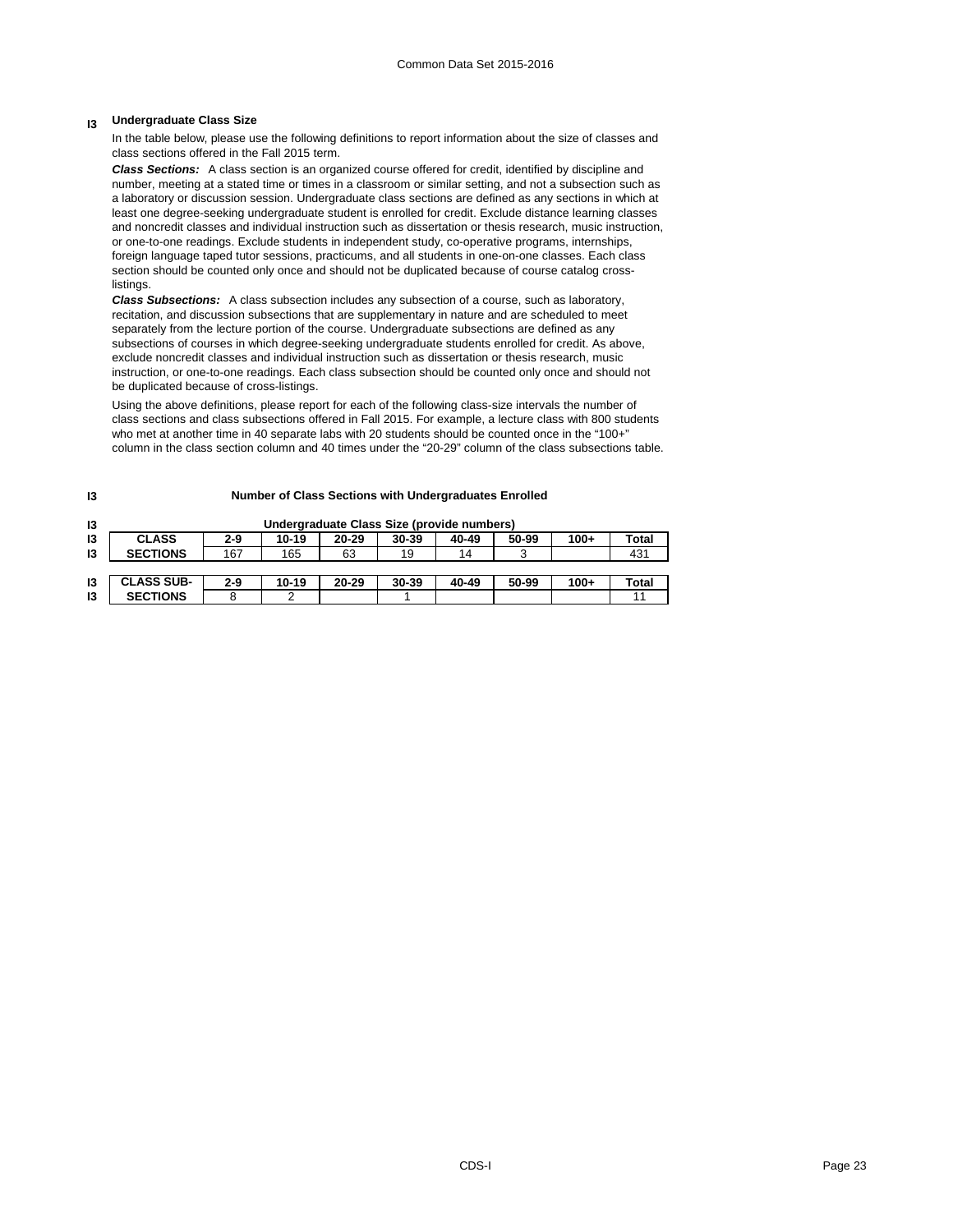# **I3 Undergraduate Class Size**

In the table below, please use the following definitions to report information about the size of classes and class sections offered in the Fall 2015 term.

*Class Sections:* A class section is an organized course offered for credit, identified by discipline and number, meeting at a stated time or times in a classroom or similar setting, and not a subsection such as a laboratory or discussion session. Undergraduate class sections are defined as any sections in which at least one degree-seeking undergraduate student is enrolled for credit. Exclude distance learning classes and noncredit classes and individual instruction such as dissertation or thesis research, music instruction, or one-to-one readings. Exclude students in independent study, co-operative programs, internships, foreign language taped tutor sessions, practicums, and all students in one-on-one classes. Each class section should be counted only once and should not be duplicated because of course catalog crosslistings.

*Class Subsections:* A class subsection includes any subsection of a course, such as laboratory, recitation, and discussion subsections that are supplementary in nature and are scheduled to meet separately from the lecture portion of the course. Undergraduate subsections are defined as any subsections of courses in which degree-seeking undergraduate students enrolled for credit. As above, exclude noncredit classes and individual instruction such as dissertation or thesis research, music instruction, or one-to-one readings. Each class subsection should be counted only once and should not be duplicated because of cross-listings.

Using the above definitions, please report for each of the following class-size intervals the number of class sections and class subsections offered in Fall 2015. For example, a lecture class with 800 students who met at another time in 40 separate labs with 20 students should be counted once in the "100+" column in the class section column and 40 times under the "20-29" column of the class subsections table.

**Number of Class Sections with Undergraduates Enrolled**

| 13 |                   |       |           | Undergraduate Class Size (provide numbers) |       |       |       |        |       |
|----|-------------------|-------|-----------|--------------------------------------------|-------|-------|-------|--------|-------|
| 13 | <b>CLASS</b>      | 2-9   | $10 - 19$ | 20-29                                      | 30-39 | 40-49 | 50-99 | $100+$ | Total |
| 13 | <b>SECTIONS</b>   | 167   | 165       | 63                                         | 19    | 14    | 3     |        | 431   |
|    |                   |       |           |                                            |       |       |       |        |       |
| 13 | <b>CLASS SUB-</b> | $2-9$ | $10 - 19$ | $20 - 29$                                  | 30-39 | 40-49 | 50-99 | $100+$ | Total |
| 13 | <b>SECTIONS</b>   |       |           |                                            |       |       |       |        | 11    |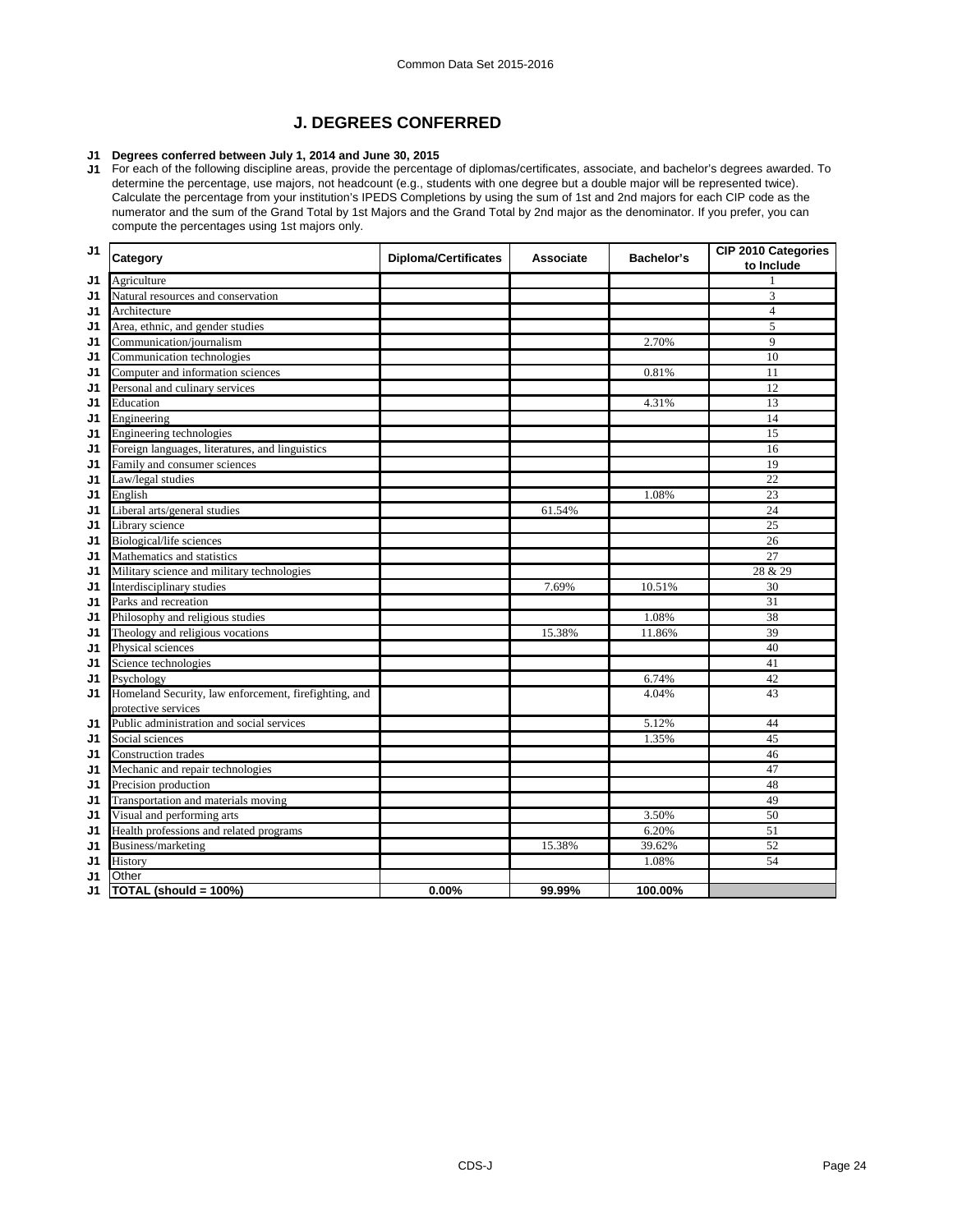# **J. DEGREES CONFERRED**

## **J1 Degrees conferred between July 1, 2014 and June 30, 2015**

**J1** For each of the following discipline areas, provide the percentage of diplomas/certificates, associate, and bachelor's degrees awarded. To determine the percentage, use majors, not headcount (e.g., students with one degree but a double major will be represented twice). Calculate the percentage from your institution's IPEDS Completions by using the sum of 1st and 2nd majors for each CIP code as the numerator and the sum of the Grand Total by 1st Majors and the Grand Total by 2nd major as the denominator. If you prefer, you can compute the percentages using 1st majors only.

| J <sub>1</sub> | Category                                              | <b>Diploma/Certificates</b> | <b>Associate</b> | <b>Bachelor's</b> | CIP 2010 Categories<br>to Include |
|----------------|-------------------------------------------------------|-----------------------------|------------------|-------------------|-----------------------------------|
| J1             | Agriculture                                           |                             |                  |                   | 1                                 |
| J <sub>1</sub> | Natural resources and conservation                    |                             |                  |                   | 3                                 |
| J1             | Architecture                                          |                             |                  |                   | $\overline{4}$                    |
| J1             | Area, ethnic, and gender studies                      |                             |                  |                   | 5                                 |
| J1             | Communication/journalism                              |                             |                  | 2.70%             | 9                                 |
| J1             | Communication technologies                            |                             |                  |                   | 10                                |
| J1             | Computer and information sciences                     |                             |                  | 0.81%             | 11                                |
| J1             | Personal and culinary services                        |                             |                  |                   | 12                                |
| J1             | Education                                             |                             |                  | 4.31%             | 13                                |
| J1             | Engineering                                           |                             |                  |                   | 14                                |
| J1             | Engineering technologies                              |                             |                  |                   | 15                                |
| J1             | Foreign languages, literatures, and linguistics       |                             |                  |                   | 16                                |
| J1             | Family and consumer sciences                          |                             |                  |                   | 19                                |
| J1             | Law/legal studies                                     |                             |                  |                   | 22                                |
| J1             | English                                               |                             |                  | 1.08%             | 23                                |
| J1             | Liberal arts/general studies                          |                             | 61.54%           |                   | 24                                |
| J1             | Library science                                       |                             |                  |                   | 25                                |
| J1             | Biological/life sciences                              |                             |                  |                   | 26                                |
| J1             | Mathematics and statistics                            |                             |                  |                   | $\overline{27}$                   |
| J1             | Military science and military technologies            |                             |                  |                   | 28 & 29                           |
| J <sub>1</sub> | Interdisciplinary studies                             |                             | 7.69%            | 10.51%            | 30                                |
| J1             | Parks and recreation                                  |                             |                  |                   | 31                                |
| J1             | Philosophy and religious studies                      |                             |                  | 1.08%             | 38                                |
| J1             | Theology and religious vocations                      |                             | 15.38%           | 11.86%            | 39                                |
| J1             | Physical sciences                                     |                             |                  |                   | 40                                |
| J1             | Science technologies                                  |                             |                  |                   | 41                                |
| J1             | Psychology                                            |                             |                  | 6.74%             | 42                                |
| J1             | Homeland Security, law enforcement, firefighting, and |                             |                  | 4.04%             | 43                                |
|                | protective services                                   |                             |                  |                   |                                   |
| J1             | Public administration and social services             |                             |                  | 5.12%             | 44                                |
| J1             | Social sciences                                       |                             |                  | 1.35%             | 45                                |
| J1             | <b>Construction</b> trades                            |                             |                  |                   | 46                                |
| J1             | Mechanic and repair technologies                      |                             |                  |                   | 47                                |
| J1             | Precision production                                  |                             |                  |                   | 48                                |
| J1             | Transportation and materials moving                   |                             |                  |                   | 49                                |
| J1             | Visual and performing arts                            |                             |                  | 3.50%             | 50                                |
| J1             | Health professions and related programs               |                             |                  | 6.20%             | 51                                |
| J1             | Business/marketing                                    |                             | 15.38%           | 39.62%            | 52                                |
| J1             | History                                               |                             |                  | 1.08%             | 54                                |
| J1             | Other                                                 |                             |                  |                   |                                   |
| J1             | TOTAL (should = 100%)                                 | 0.00%                       | 99.99%           | 100.00%           |                                   |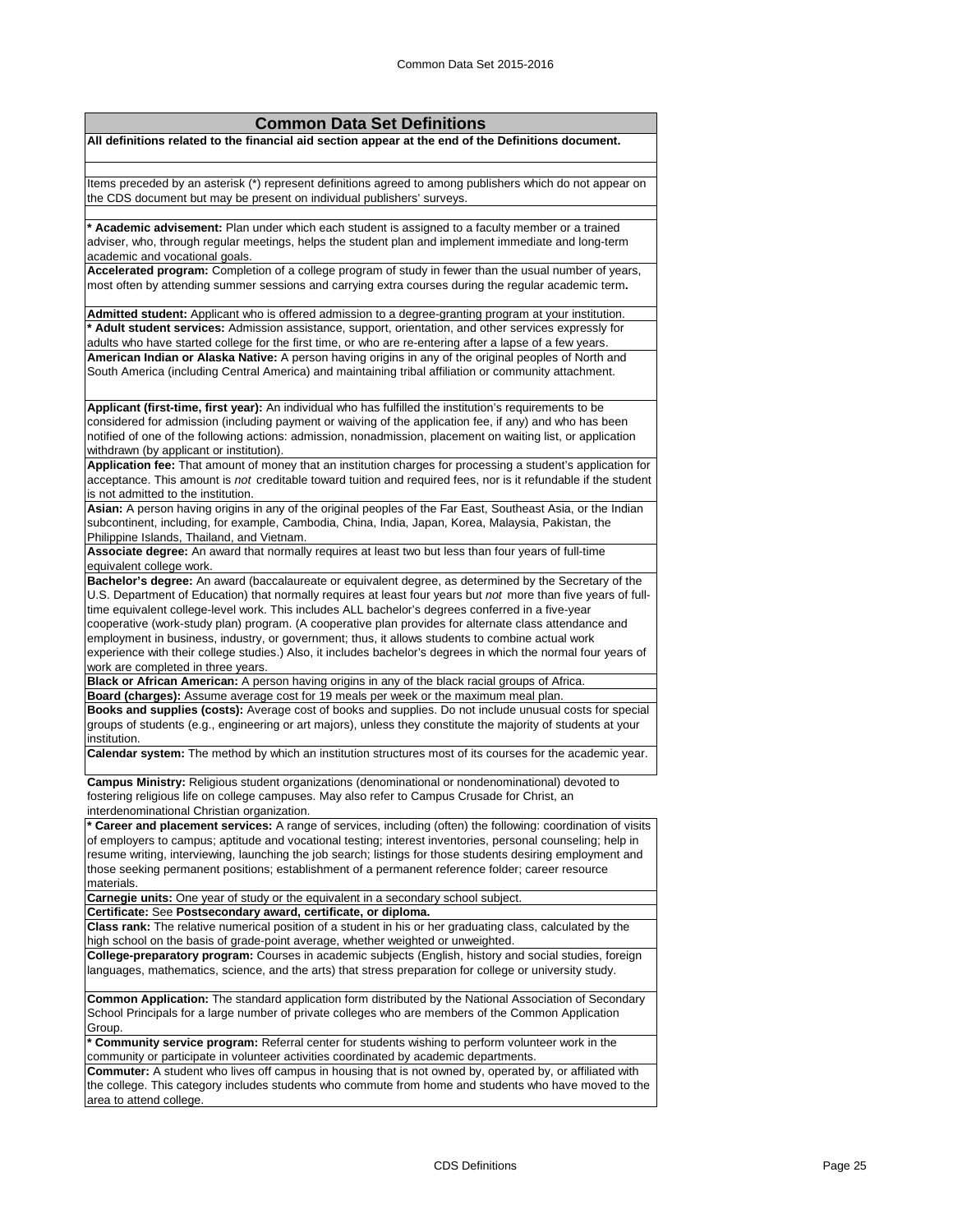| <b>Common Data Set Definitions</b>                                                                                                                                                                                        |
|---------------------------------------------------------------------------------------------------------------------------------------------------------------------------------------------------------------------------|
| All definitions related to the financial aid section appear at the end of the Definitions document.                                                                                                                       |
|                                                                                                                                                                                                                           |
| Items preceded by an asterisk (*) represent definitions agreed to among publishers which do not appear on                                                                                                                 |
| the CDS document but may be present on individual publishers' surveys.                                                                                                                                                    |
|                                                                                                                                                                                                                           |
| * Academic advisement: Plan under which each student is assigned to a faculty member or a trained<br>adviser, who, through regular meetings, helps the student plan and implement immediate and long-term                 |
| academic and vocational goals.                                                                                                                                                                                            |
| Accelerated program: Completion of a college program of study in fewer than the usual number of years,                                                                                                                    |
| most often by attending summer sessions and carrying extra courses during the regular academic term.                                                                                                                      |
|                                                                                                                                                                                                                           |
| Admitted student: Applicant who is offered admission to a degree-granting program at your institution.<br>* Adult student services: Admission assistance, support, orientation, and other services expressly for          |
| adults who have started college for the first time, or who are re-entering after a lapse of a few years.                                                                                                                  |
| American Indian or Alaska Native: A person having origins in any of the original peoples of North and                                                                                                                     |
| South America (including Central America) and maintaining tribal affiliation or community attachment.                                                                                                                     |
|                                                                                                                                                                                                                           |
| Applicant (first-time, first year): An individual who has fulfilled the institution's requirements to be                                                                                                                  |
| considered for admission (including payment or waiving of the application fee, if any) and who has been<br>notified of one of the following actions: admission, nonadmission, placement on waiting list, or application   |
| withdrawn (by applicant or institution).                                                                                                                                                                                  |
| Application fee: That amount of money that an institution charges for processing a student's application for                                                                                                              |
| acceptance. This amount is not creditable toward tuition and required fees, nor is it refundable if the student                                                                                                           |
| is not admitted to the institution.                                                                                                                                                                                       |
| Asian: A person having origins in any of the original peoples of the Far East, Southeast Asia, or the Indian                                                                                                              |
| subcontinent, including, for example, Cambodia, China, India, Japan, Korea, Malaysia, Pakistan, the<br>Philippine Islands, Thailand, and Vietnam.                                                                         |
| Associate degree: An award that normally requires at least two but less than four years of full-time                                                                                                                      |
| equivalent college work.                                                                                                                                                                                                  |
| Bachelor's degree: An award (baccalaureate or equivalent degree, as determined by the Secretary of the                                                                                                                    |
| U.S. Department of Education) that normally requires at least four years but not more than five years of full-                                                                                                            |
| time equivalent college-level work. This includes ALL bachelor's degrees conferred in a five-year                                                                                                                         |
| cooperative (work-study plan) program. (A cooperative plan provides for alternate class attendance and<br>employment in business, industry, or government; thus, it allows students to combine actual work                |
| experience with their college studies.) Also, it includes bachelor's degrees in which the normal four years of                                                                                                            |
| work are completed in three years.                                                                                                                                                                                        |
| Black or African American: A person having origins in any of the black racial groups of Africa.                                                                                                                           |
| Board (charges): Assume average cost for 19 meals per week or the maximum meal plan.                                                                                                                                      |
| Books and supplies (costs): Average cost of books and supplies. Do not include unusual costs for special<br>groups of students (e.g., engineering or art majors), unless they constitute the majority of students at your |
| institution.                                                                                                                                                                                                              |
| Calendar system: The method by which an institution structures most of its courses for the academic year.                                                                                                                 |
|                                                                                                                                                                                                                           |
| Campus Ministry: Religious student organizations (denominational or nondenominational) devoted to<br>fostering religious life on college campuses. May also refer to Campus Crusade for Christ, an                        |
| interdenominational Christian organization.                                                                                                                                                                               |
| * Career and placement services: A range of services, including (often) the following: coordination of visits                                                                                                             |
| of employers to campus; aptitude and vocational testing; interest inventories, personal counseling; help in                                                                                                               |
| resume writing, interviewing, launching the job search; listings for those students desiring employment and                                                                                                               |
| those seeking permanent positions; establishment of a permanent reference folder; career resource                                                                                                                         |
| materials.<br>Carnegie units: One year of study or the equivalent in a secondary school subject.                                                                                                                          |
| Certificate: See Postsecondary award, certificate, or diploma.                                                                                                                                                            |
| Class rank: The relative numerical position of a student in his or her graduating class, calculated by the                                                                                                                |
| high school on the basis of grade-point average, whether weighted or unweighted.                                                                                                                                          |
| College-preparatory program: Courses in academic subjects (English, history and social studies, foreign                                                                                                                   |
| languages, mathematics, science, and the arts) that stress preparation for college or university study.                                                                                                                   |
| Common Application: The standard application form distributed by the National Association of Secondary                                                                                                                    |
| School Principals for a large number of private colleges who are members of the Common Application                                                                                                                        |
| Group.                                                                                                                                                                                                                    |
| * Community service program: Referral center for students wishing to perform volunteer work in the                                                                                                                        |
| community or participate in volunteer activities coordinated by academic departments.                                                                                                                                     |
| Commuter: A student who lives off campus in housing that is not owned by, operated by, or affiliated with<br>the college. This category includes students who commute from home and students who have moved to the        |
| area to attend college.                                                                                                                                                                                                   |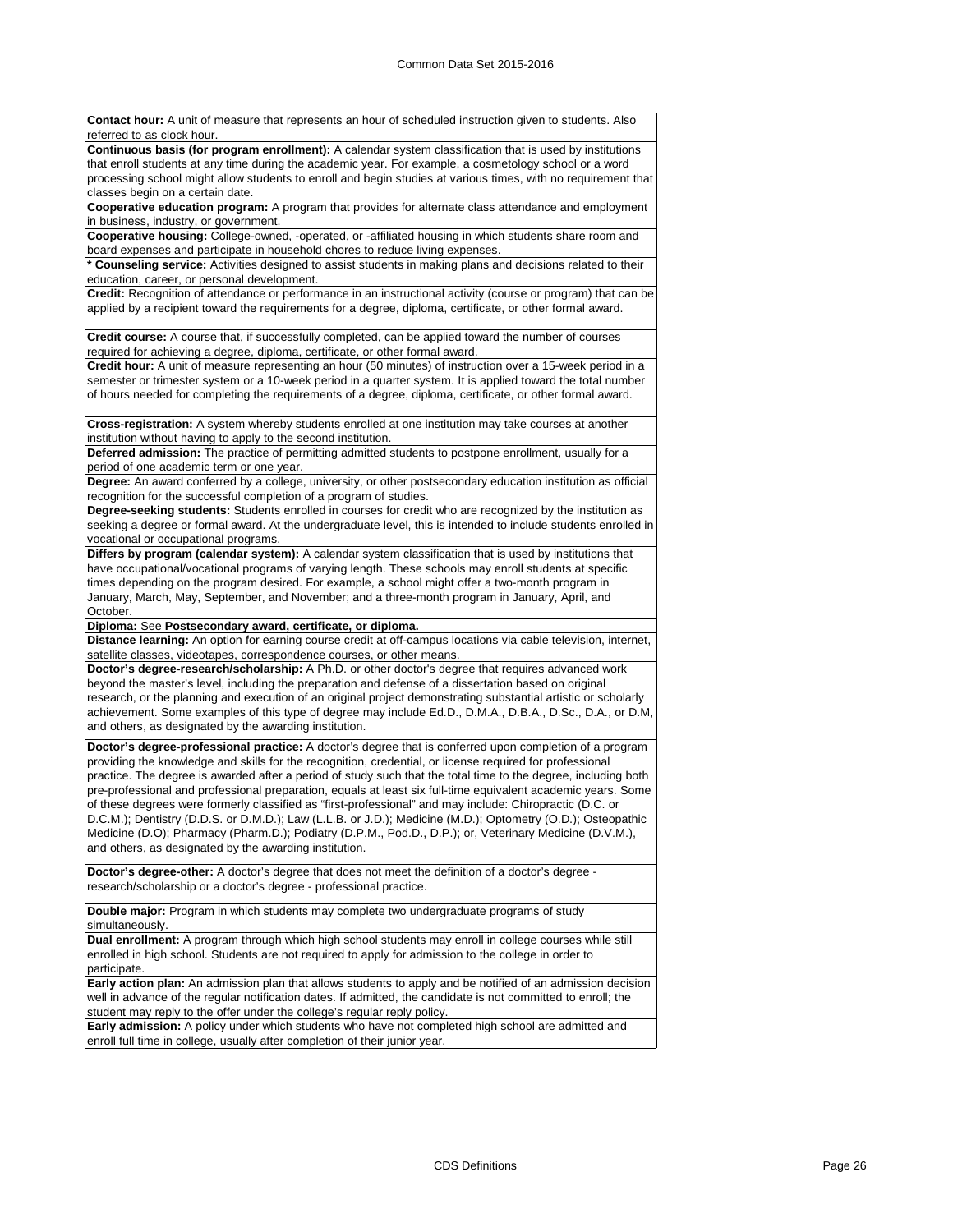**Contact hour:** A unit of measure that represents an hour of scheduled instruction given to students. Also referred to as clock hour **Continuous basis (for program enrollment):** A calendar system classification that is used by institutions that enroll students at any time during the academic year. For example, a cosmetology school or a word processing school might allow students to enroll and begin studies at various times, with no requirement that classes begin on a certain date. **Cooperative education program:** A program that provides for alternate class attendance and employment in business, industry, or government. **Cooperative housing:** College-owned, -operated, or -affiliated housing in which students share room and board expenses and participate in household chores to reduce living expenses. **\* Counseling service:** Activities designed to assist students in making plans and decisions related to their education, career, or personal development. **Credit:** Recognition of attendance or performance in an instructional activity (course or program) that can be applied by a recipient toward the requirements for a degree, diploma, certificate, or other formal award. **Credit course:** A course that, if successfully completed, can be applied toward the number of courses required for achieving a degree, diploma, certificate, or other formal award. **Credit hour:** A unit of measure representing an hour (50 minutes) of instruction over a 15-week period in a semester or trimester system or a 10-week period in a quarter system. It is applied toward the total number of hours needed for completing the requirements of a degree, diploma, certificate, or other formal award. **Cross-registration:** A system whereby students enrolled at one institution may take courses at another institution without having to apply to the second institution. **Deferred admission:** The practice of permitting admitted students to postpone enrollment, usually for a

period of one academic term or one year. **Degree:** An award conferred by a college, university, or other postsecondary education institution as official recognition for the successful completion of a program of studies.

**Degree-seeking students:** Students enrolled in courses for credit who are recognized by the institution as seeking a degree or formal award. At the undergraduate level, this is intended to include students enrolled in vocational or occupational programs.

**Differs by program (calendar system):** A calendar system classification that is used by institutions that have occupational/vocational programs of varying length. These schools may enroll students at specific times depending on the program desired. For example, a school might offer a two-month program in January, March, May, September, and November; and a three-month program in January, April, and October.

**Diploma:** See **Postsecondary award, certificate, or diploma.**

**Distance learning:** An option for earning course credit at off-campus locations via cable television, internet, satellite classes, videotapes, correspondence courses, or other means

**Doctor's degree-research/scholarship:** A Ph.D. or other doctor's degree that requires advanced work beyond the master's level, including the preparation and defense of a dissertation based on original research, or the planning and execution of an original project demonstrating substantial artistic or scholarly achievement. Some examples of this type of degree may include Ed.D., D.M.A., D.B.A., D.Sc., D.A., or D.M, and others, as designated by the awarding institution.

**Doctor's degree-professional practice:** A doctor's degree that is conferred upon completion of a program providing the knowledge and skills for the recognition, credential, or license required for professional practice. The degree is awarded after a period of study such that the total time to the degree, including both pre-professional and professional preparation, equals at least six full-time equivalent academic years. Some of these degrees were formerly classified as "first-professional" and may include: Chiropractic (D.C. or D.C.M.); Dentistry (D.D.S. or D.M.D.); Law (L.L.B. or J.D.); Medicine (M.D.); Optometry (O.D.); Osteopathic Medicine (D.O); Pharmacy (Pharm.D.); Podiatry (D.P.M., Pod.D., D.P.); or, Veterinary Medicine (D.V.M.), and others, as designated by the awarding institution.

**Doctor's degree-other:** A doctor's degree that does not meet the definition of a doctor's degree research/scholarship or a doctor's degree - professional practice.

**Double major:** Program in which students may complete two undergraduate programs of study simultaneously.

**Dual enrollment:** A program through which high school students may enroll in college courses while still enrolled in high school. Students are not required to apply for admission to the college in order to participate.

**Early action plan:** An admission plan that allows students to apply and be notified of an admission decision well in advance of the regular notification dates. If admitted, the candidate is not committed to enroll; the student may reply to the offer under the college's regular reply policy.

**Early admission:** A policy under which students who have not completed high school are admitted and enroll full time in college, usually after completion of their junior year.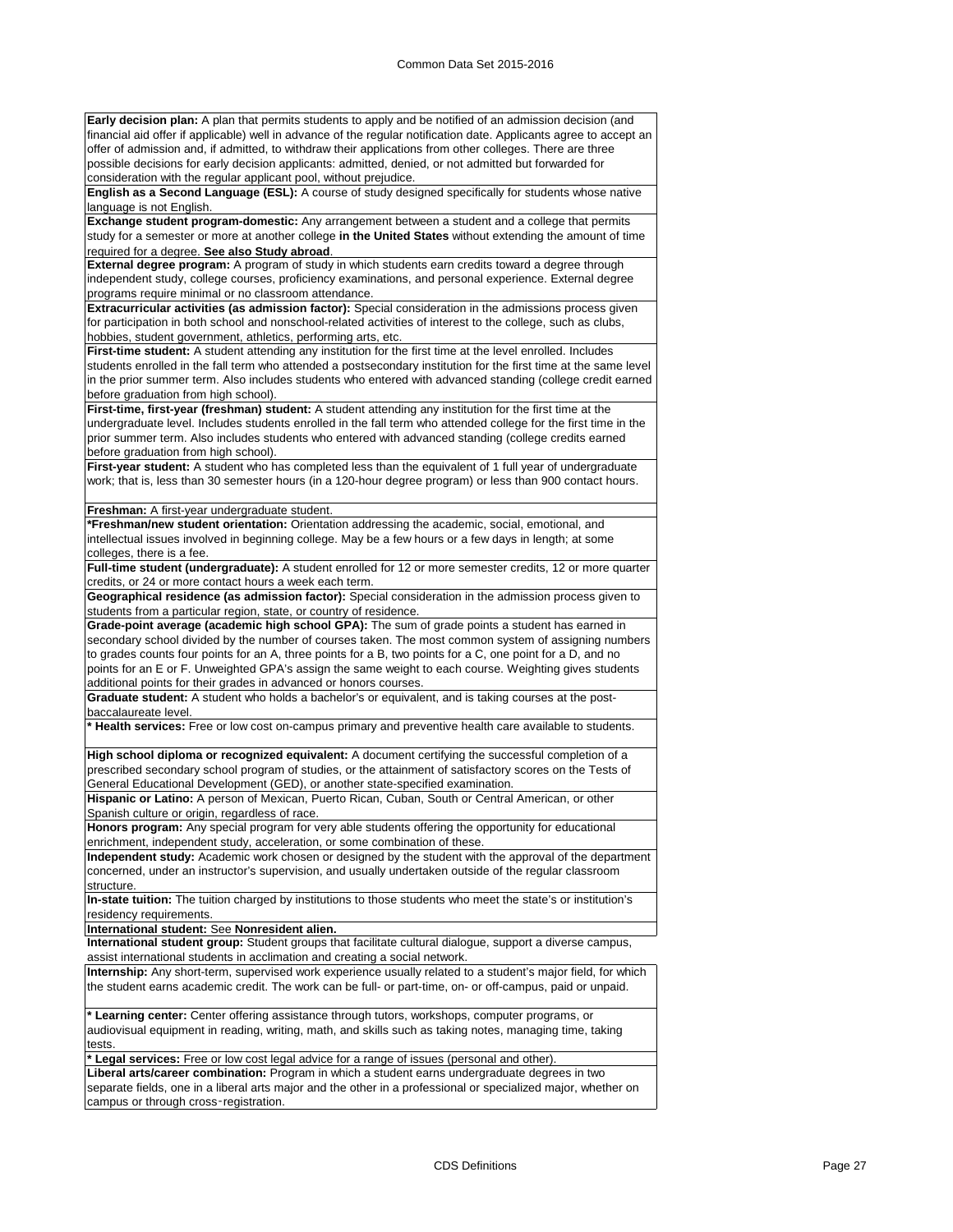**Early decision plan:** A plan that permits students to apply and be notified of an admission decision (and financial aid offer if applicable) well in advance of the regular notification date. Applicants agree to accept an offer of admission and, if admitted, to withdraw their applications from other colleges. There are three possible decisions for early decision applicants: admitted, denied, or not admitted but forwarded for consideration with the regular applicant pool, without prejudice.

**English as a Second Language (ESL):** A course of study designed specifically for students whose native language is not English.

**Exchange student program-domestic:** Any arrangement between a student and a college that permits study for a semester or more at another college **in the United States** without extending the amount of time required for a degree. **See also Study abroad**.

**External degree program:** A program of study in which students earn credits toward a degree through independent study, college courses, proficiency examinations, and personal experience. External degree programs require minimal or no classroom attendance.

**Extracurricular activities (as admission factor):** Special consideration in the admissions process given for participation in both school and nonschool-related activities of interest to the college, such as clubs, hobbies, student government, athletics, performing arts, etc.

First-time student: A student attending any institution for the first time at the level enrolled. Includes students enrolled in the fall term who attended a postsecondary institution for the first time at the same level in the prior summer term. Also includes students who entered with advanced standing (college credit earned before graduation from high school).

**First-time, first-year (freshman) student:** A student attending any institution for the first time at the undergraduate level. Includes students enrolled in the fall term who attended college for the first time in the prior summer term. Also includes students who entered with advanced standing (college credits earned before graduation from high school).

First-year student: A student who has completed less than the equivalent of 1 full year of undergraduate work; that is, less than 30 semester hours (in a 120-hour degree program) or less than 900 contact hours.

**Freshman:** A first-year undergraduate student.

**\*Freshman/new student orientation:** Orientation addressing the academic, social, emotional, and intellectual issues involved in beginning college. May be a few hours or a few days in length; at some colleges, there is a fee.

**Full-time student (undergraduate):** A student enrolled for 12 or more semester credits, 12 or more quarter credits, or 24 or more contact hours a week each term.

**Geographical residence (as admission factor):** Special consideration in the admission process given to students from a particular region, state, or country of residence.

**Grade-point average (academic high school GPA):** The sum of grade points a student has earned in secondary school divided by the number of courses taken. The most common system of assigning numbers to grades counts four points for an A, three points for a B, two points for a C, one point for a D, and no points for an E or F. Unweighted GPA's assign the same weight to each course. Weighting gives students additional points for their grades in advanced or honors courses.

**Graduate student:** A student who holds a bachelor's or equivalent, and is taking courses at the postbaccalaureate level.

**\* Health services:** Free or low cost on-campus primary and preventive health care available to students.

**High school diploma or recognized equivalent:** A document certifying the successful completion of a prescribed secondary school program of studies, or the attainment of satisfactory scores on the Tests of General Educational Development (GED), or another state-specified examination.

**Hispanic or Latino:** A person of Mexican, Puerto Rican, Cuban, South or Central American, or other Spanish culture or origin, regardless of race.

**Honors program:** Any special program for very able students offering the opportunity for educational enrichment, independent study, acceleration, or some combination of these.

**Independent study:** Academic work chosen or designed by the student with the approval of the department concerned, under an instructor's supervision, and usually undertaken outside of the regular classroom structure.

**In-state tuition:** The tuition charged by institutions to those students who meet the state's or institution's residency requirements.

**International student:** See **Nonresident alien.**

**International student group:** Student groups that facilitate cultural dialogue, support a diverse campus, assist international students in acclimation and creating a social network.

**Internship:** Any short-term, supervised work experience usually related to a student's major field, for which the student earns academic credit. The work can be full- or part-time, on- or off-campus, paid or unpaid.

**\* Learning center:** Center offering assistance through tutors, workshops, computer programs, or audiovisual equipment in reading, writing, math, and skills such as taking notes, managing time, taking tests.

**\* Legal services:** Free or low cost legal advice for a range of issues (personal and other).

**Liberal arts/career combination:** Program in which a student earns undergraduate degrees in two separate fields, one in a liberal arts major and the other in a professional or specialized major, whether on campus or through cross‑registration.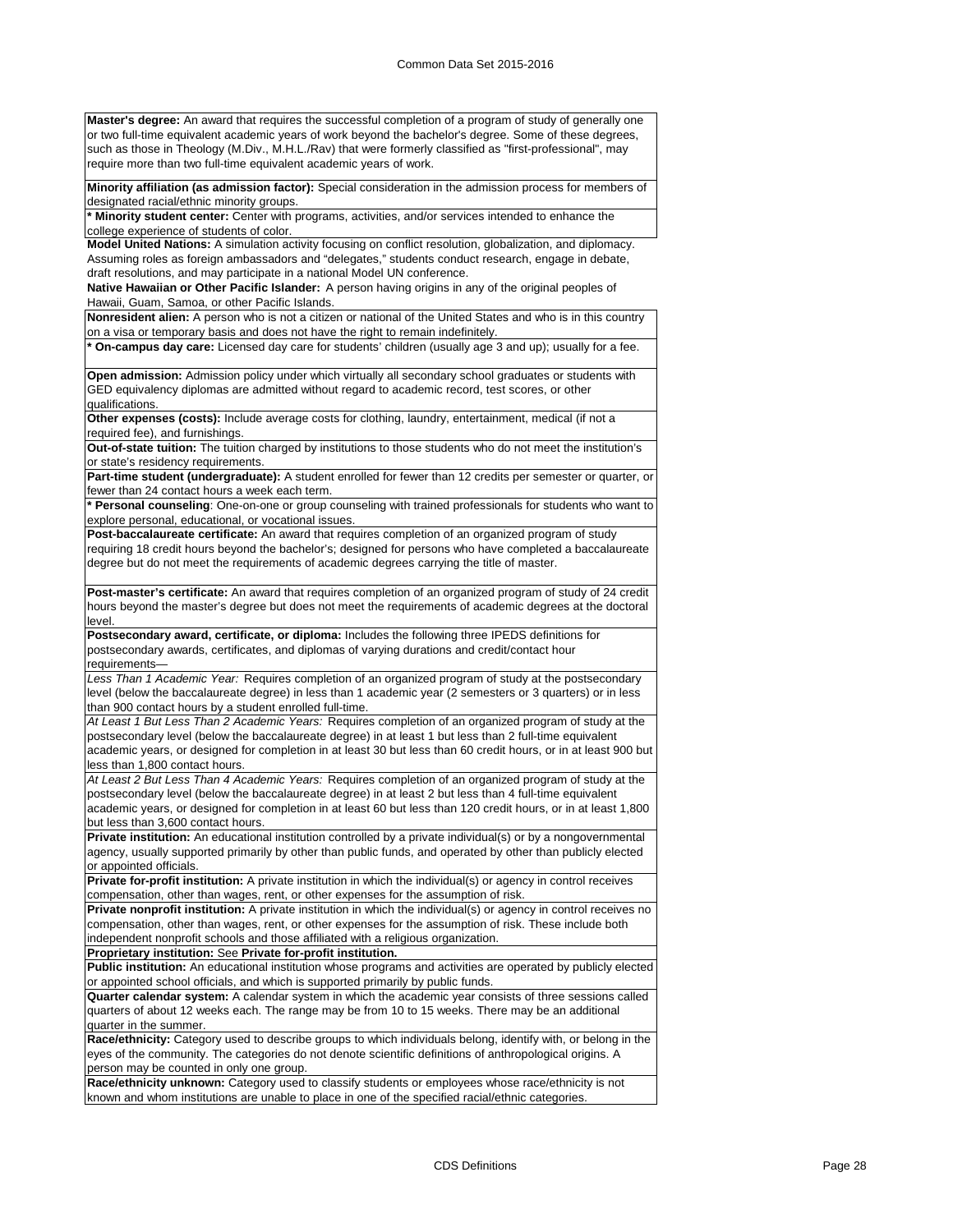**Master's degree:** An award that requires the successful completion of a program of study of generally one or two full-time equivalent academic years of work beyond the bachelor's degree. Some of these degrees, such as those in Theology (M.Div., M.H.L./Rav) that were formerly classified as "first-professional", may require more than two full-time equivalent academic years of work.

**Minority affiliation (as admission factor):** Special consideration in the admission process for members of designated racial/ethnic minority groups.

**\* Minority student center:** Center with programs, activities, and/or services intended to enhance the college experience of students of color.

**Model United Nations:** A simulation activity focusing on conflict resolution, globalization, and diplomacy. Assuming roles as foreign ambassadors and "delegates," students conduct research, engage in debate, draft resolutions, and may participate in a national Model UN conference.

**Native Hawaiian or Other Pacific Islander:** A person having origins in any of the original peoples of Hawaii, Guam, Samoa, or other Pacific Islands.

**Nonresident alien:** A person who is not a citizen or national of the United States and who is in this country on a visa or temporary basis and does not have the right to remain indefinitely.

**\* On-campus day care:** Licensed day care for students' children (usually age 3 and up); usually for a fee.

**Open admission:** Admission policy under which virtually all secondary school graduates or students with GED equivalency diplomas are admitted without regard to academic record, test scores, or other qualifications.

**Other expenses (costs):** Include average costs for clothing, laundry, entertainment, medical (if not a required fee), and furnishings.

**Out-of-state tuition:** The tuition charged by institutions to those students who do not meet the institution's or state's residency requirements.

**Part-time student (undergraduate):** A student enrolled for fewer than 12 credits per semester or quarter, or fewer than 24 contact hours a week each term.

**\* Personal counseling**: One-on-one or group counseling with trained professionals for students who want to explore personal, educational, or vocational issues.

**Post-baccalaureate certificate:** An award that requires completion of an organized program of study requiring 18 credit hours beyond the bachelor's; designed for persons who have completed a baccalaureate degree but do not meet the requirements of academic degrees carrying the title of master.

**Post-master's certificate:** An award that requires completion of an organized program of study of 24 credit hours beyond the master's degree but does not meet the requirements of academic degrees at the doctoral level.

**Postsecondary award, certificate, or diploma:** Includes the following three IPEDS definitions for postsecondary awards, certificates, and diplomas of varying durations and credit/contact hour requirements—

*Less Than 1 Academic Year:* Requires completion of an organized program of study at the postsecondary level (below the baccalaureate degree) in less than 1 academic year (2 semesters or 3 quarters) or in less than 900 contact hours by a student enrolled full-time.

*At Least 1 But Less Than 2 Academic Years:* Requires completion of an organized program of study at the postsecondary level (below the baccalaureate degree) in at least 1 but less than 2 full-time equivalent academic years, or designed for completion in at least 30 but less than 60 credit hours, or in at least 900 but less than 1,800 contact hours.

*At Least 2 But Less Than 4 Academic Years:* Requires completion of an organized program of study at the postsecondary level (below the baccalaureate degree) in at least 2 but less than 4 full-time equivalent academic years, or designed for completion in at least 60 but less than 120 credit hours, or in at least 1,800 but less than 3,600 contact hours.

**Private institution:** An educational institution controlled by a private individual(s) or by a nongovernmental agency, usually supported primarily by other than public funds, and operated by other than publicly elected or appointed officials.

**Private for-profit institution:** A private institution in which the individual(s) or agency in control receives compensation, other than wages, rent, or other expenses for the assumption of risk.

**Private nonprofit institution:** A private institution in which the individual(s) or agency in control receives no compensation, other than wages, rent, or other expenses for the assumption of risk. These include both independent nonprofit schools and those affiliated with a religious organization.

**Proprietary institution:** See **Private for-profit institution.**

**Public institution:** An educational institution whose programs and activities are operated by publicly elected or appointed school officials, and which is supported primarily by public funds.

**Quarter calendar system:** A calendar system in which the academic year consists of three sessions called quarters of about 12 weeks each. The range may be from 10 to 15 weeks. There may be an additional quarter in the summer.

**Race/ethnicity:** Category used to describe groups to which individuals belong, identify with, or belong in the eyes of the community. The categories do not denote scientific definitions of anthropological origins. A person may be counted in only one group.

**Race/ethnicity unknown:** Category used to classify students or employees whose race/ethnicity is not known and whom institutions are unable to place in one of the specified racial/ethnic categories.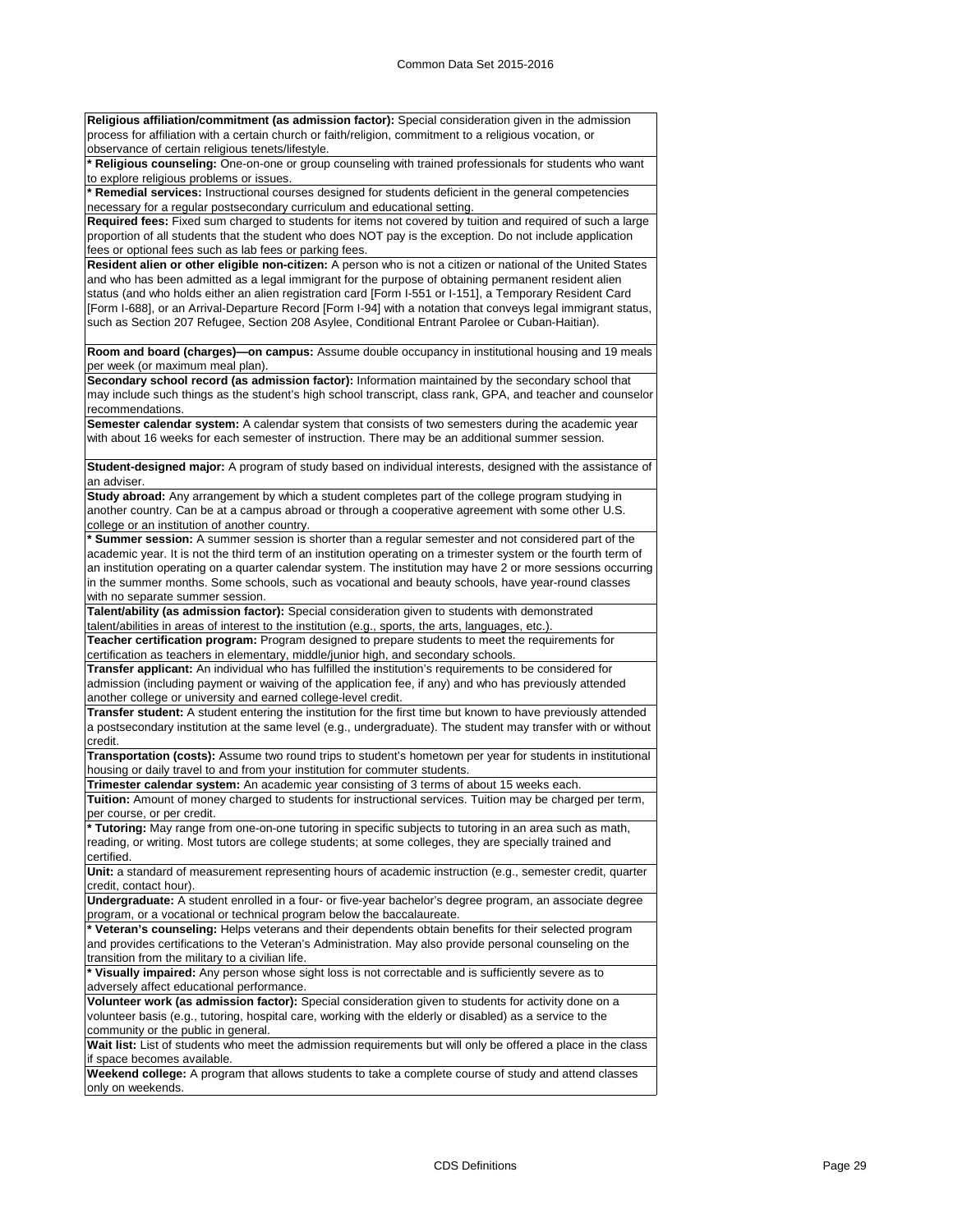**Religious affiliation/commitment (as admission factor):** Special consideration given in the admission process for affiliation with a certain church or faith/religion, commitment to a religious vocation, or observance of certain religious tenets/lifestyle.

**\* Religious counseling:** One-on-one or group counseling with trained professionals for students who want to explore religious problems or issues.

**\* Remedial services:** Instructional courses designed for students deficient in the general competencies necessary for a regular postsecondary curriculum and educational setting.

**Required fees:** Fixed sum charged to students for items not covered by tuition and required of such a large proportion of all students that the student who does NOT pay is the exception. Do not include application fees or optional fees such as lab fees or parking fees.

**Resident alien or other eligible non-citizen:** A person who is not a citizen or national of the United States and who has been admitted as a legal immigrant for the purpose of obtaining permanent resident alien status (and who holds either an alien registration card [Form I-551 or I-151], a Temporary Resident Card [Form I-688], or an Arrival-Departure Record [Form I-94] with a notation that conveys legal immigrant status, such as Section 207 Refugee, Section 208 Asylee, Conditional Entrant Parolee or Cuban-Haitian).

**Room and board (charges)—on campus:** Assume double occupancy in institutional housing and 19 meals per week (or maximum meal plan).

**Secondary school record (as admission factor):** Information maintained by the secondary school that may include such things as the student's high school transcript, class rank, GPA, and teacher and counselor recommendations.

**Semester calendar system:** A calendar system that consists of two semesters during the academic year with about 16 weeks for each semester of instruction. There may be an additional summer session.

**Student-designed major:** A program of study based on individual interests, designed with the assistance of an advise

**Study abroad:** Any arrangement by which a student completes part of the college program studying in another country. Can be at a campus abroad or through a cooperative agreement with some other U.S. college or an institution of another country.

**\* Summer session:** A summer session is shorter than a regular semester and not considered part of the academic year. It is not the third term of an institution operating on a trimester system or the fourth term of an institution operating on a quarter calendar system. The institution may have 2 or more sessions occurring in the summer months. Some schools, such as vocational and beauty schools, have year-round classes with no separate summer session

**Talent/ability (as admission factor):** Special consideration given to students with demonstrated

talent/abilities in areas of interest to the institution (e.g., sports, the arts, languages, etc.). **Teacher certification program:** Program designed to prepare students to meet the requirements for

certification as teachers in elementary, middle/junior high, and secondary schools. **Transfer applicant:** An individual who has fulfilled the institution's requirements to be considered for admission (including payment or waiving of the application fee, if any) and who has previously attended another college or university and earned college-level credit.

**Transfer student:** A student entering the institution for the first time but known to have previously attended a postsecondary institution at the same level (e.g., undergraduate). The student may transfer with or without credit.

**Transportation (costs):** Assume two round trips to student's hometown per year for students in institutional housing or daily travel to and from your institution for commuter students.

**Trimester calendar system:** An academic year consisting of 3 terms of about 15 weeks each.

**Tuition:** Amount of money charged to students for instructional services. Tuition may be charged per term, per course, or per credit

**\* Tutoring:** May range from one-on-one tutoring in specific subjects to tutoring in an area such as math, reading, or writing. Most tutors are college students; at some colleges, they are specially trained and certified.

**Unit:** a standard of measurement representing hours of academic instruction (e.g., semester credit, quarter credit, contact hour).

**Undergraduate:** A student enrolled in a four- or five-year bachelor's degree program, an associate degree program, or a vocational or technical program below the baccalaureate.

**\* Veteran's counseling:** Helps veterans and their dependents obtain benefits for their selected program and provides certifications to the Veteran's Administration. May also provide personal counseling on the transition from the military to a civilian life.

**\* Visually impaired:** Any person whose sight loss is not correctable and is sufficiently severe as to adversely affect educational performance.

**Volunteer work (as admission factor):** Special consideration given to students for activity done on a volunteer basis (e.g., tutoring, hospital care, working with the elderly or disabled) as a service to the community or the public in general.

Wait list: List of students who meet the admission requirements but will only be offered a place in the class if space becomes available.

**Weekend college:** A program that allows students to take a complete course of study and attend classes only on weekends